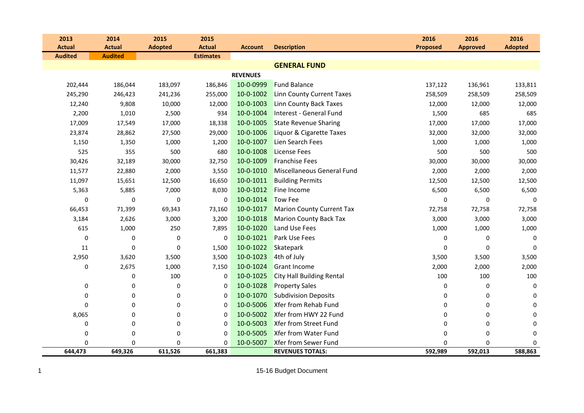| 2013           | 2014           | 2015           | 2015             |                 |                                  | 2016            | 2016            | 2016           |
|----------------|----------------|----------------|------------------|-----------------|----------------------------------|-----------------|-----------------|----------------|
| <b>Actual</b>  | <b>Actual</b>  | <b>Adopted</b> | <b>Actual</b>    | <b>Account</b>  | <b>Description</b>               | <b>Proposed</b> | <b>Approved</b> | <b>Adopted</b> |
| <b>Audited</b> | <b>Audited</b> |                | <b>Estimates</b> |                 |                                  |                 |                 |                |
|                |                |                |                  |                 | <b>GENERAL FUND</b>              |                 |                 |                |
|                |                |                |                  | <b>REVENUES</b> |                                  |                 |                 |                |
| 202,444        | 186,044        | 183,097        | 186,846          | 10-0-0999       | <b>Fund Balance</b>              | 137,122         | 136,961         | 133,811        |
| 245,290        | 246,423        | 241,236        | 255,000          | 10-0-1002       | <b>Linn County Current Taxes</b> | 258,509         | 258,509         | 258,509        |
| 12,240         | 9,808          | 10,000         | 12,000           | 10-0-1003       | <b>Linn County Back Taxes</b>    | 12,000          | 12,000          | 12,000         |
| 2,200          | 1,010          | 2,500          | 934              | 10-0-1004       | Interest - General Fund          | 1,500           | 685             | 685            |
| 17,009         | 17,549         | 17,000         | 18,338           | 10-0-1005       | <b>State Revenue Sharing</b>     | 17,000          | 17,000          | 17,000         |
| 23,874         | 28,862         | 27,500         | 29,000           | 10-0-1006       | Liquor & Cigarette Taxes         | 32,000          | 32,000          | 32,000         |
| 1,150          | 1,350          | 1,000          | 1,200            | 10-0-1007       | Lien Search Fees                 | 1,000           | 1,000           | 1,000          |
| 525            | 355            | 500            | 680              | 10-0-1008       | <b>License Fees</b>              | 500             | 500             | 500            |
| 30,426         | 32,189         | 30,000         | 32,750           | 10-0-1009       | <b>Franchise Fees</b>            | 30,000          | 30,000          | 30,000         |
| 11,577         | 22,880         | 2,000          | 3,550            | 10-0-1010       | Miscellaneous General Fund       | 2,000           | 2,000           | 2,000          |
| 11,097         | 15,651         | 12,500         | 16,650           | 10-0-1011       | <b>Building Permits</b>          | 12,500          | 12,500          | 12,500         |
| 5,363          | 5,885          | 7,000          | 8,030            | 10-0-1012       | Fine Income                      | 6,500           | 6,500           | 6,500          |
| $\Omega$       | 0              | $\mathbf 0$    | $\mathbf 0$      | 10-0-1014       | Tow Fee                          | 0               | $\mathbf 0$     | $\mathbf 0$    |
| 66,453         | 71,399         | 69,343         | 73,160           | 10-0-1017       | <b>Marion County Current Tax</b> | 72,758          | 72,758          | 72,758         |
| 3,184          | 2,626          | 3,000          | 3,200            | 10-0-1018       | <b>Marion County Back Tax</b>    | 3,000           | 3,000           | 3,000          |
| 615            | 1,000          | 250            | 7,895            | 10-0-1020       | Land Use Fees                    | 1,000           | 1,000           | 1,000          |
| $\mathbf 0$    | 0              | $\mathbf 0$    | 0                | 10-0-1021       | Park Use Fees                    | 0               | 0               | 0              |
| 11             | $\mathbf 0$    | 0              | 1,500            | 10-0-1022       | Skatepark                        | 0               | $\Omega$        | $\mathbf 0$    |
| 2,950          | 3,620          | 3,500          | 3,500            | 10-0-1023       | 4th of July                      | 3,500           | 3,500           | 3,500          |
| 0              | 2,675          | 1,000          | 7,150            | 10-0-1024       | <b>Grant Income</b>              | 2,000           | 2,000           | 2,000          |
|                | 0              | 100            | 0                | 10-0-1025       | <b>City Hall Building Rental</b> | 100             | 100             | 100            |
| 0              | $\pmb{0}$      | $\pmb{0}$      | $\mathbf 0$      | 10-0-1028       | <b>Property Sales</b>            | 0               | 0               | $\pmb{0}$      |
| 0              | 0              | $\mathbf 0$    | $\Omega$         | 10-0-1070       | <b>Subdivision Deposits</b>      | 0               | $\mathbf 0$     | 0              |
| $\Omega$       | 0              | $\mathbf 0$    | 0                | 10-0-5006       | Xfer from Rehab Fund             | 0               | 0               | 0              |
| 8,065          | 0              | $\mathbf 0$    | 0                | 10-0-5002       | Xfer from HWY 22 Fund            | 0               | 0               | 0              |
| 0              | 0              | 0              | $\Omega$         | 10-0-5003       | <b>Xfer from Street Fund</b>     | 0               | $\mathbf 0$     | 0              |
| 0              | 0              | $\mathbf 0$    | 0                | 10-0-5005       | Xfer from Water Fund             | 0               | 0               | 0              |
| $\Omega$       | 0              | $\Omega$       | $\Omega$         | 10-0-5007       | <b>Xfer from Sewer Fund</b>      | $\Omega$        | $\mathbf 0$     | 0              |
| 644,473        | 649,326        | 611,526        | 661,383          |                 | <b>REVENUES TOTALS:</b>          | 592,989         | 592,013         | 588,863        |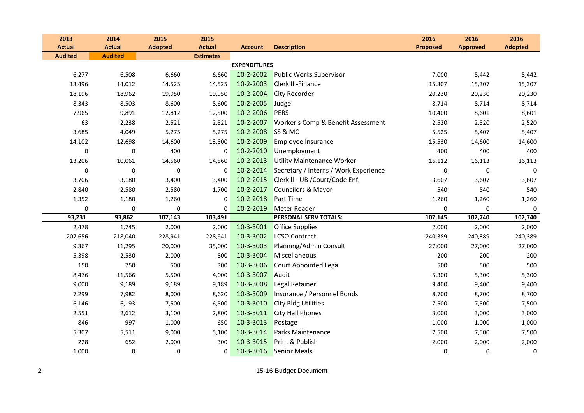| 2013           | 2014           | 2015           | 2015             |                     |                                       | 2016            | 2016            | 2016           |
|----------------|----------------|----------------|------------------|---------------------|---------------------------------------|-----------------|-----------------|----------------|
| <b>Actual</b>  | <b>Actual</b>  | <b>Adopted</b> | <b>Actual</b>    | <b>Account</b>      | <b>Description</b>                    | <b>Proposed</b> | <b>Approved</b> | <b>Adopted</b> |
| <b>Audited</b> | <b>Audited</b> |                | <b>Estimates</b> |                     |                                       |                 |                 |                |
|                |                |                |                  | <b>EXPENDITURES</b> |                                       |                 |                 |                |
| 6,277          | 6,508          | 6,660          | 6,660            | 10-2-2002           | <b>Public Works Supervisor</b>        | 7,000           | 5,442           | 5,442          |
| 13,496         | 14,012         | 14,525         | 14,525           | 10-2-2003           | Clerk II - Finance                    | 15,307          | 15,307          | 15,307         |
| 18,196         | 18,962         | 19,950         | 19,950           | 10-2-2004           | <b>City Recorder</b>                  | 20,230          | 20,230          | 20,230         |
| 8,343          | 8,503          | 8,600          | 8,600            | 10-2-2005           | Judge                                 | 8,714           | 8,714           | 8,714          |
| 7,965          | 9,891          | 12,812         | 12,500           | 10-2-2006           | PERS                                  | 10,400          | 8,601           | 8,601          |
| 63             | 2,238          | 2,521          | 2,521            | 10-2-2007           | Worker's Comp & Benefit Assessment    | 2,520           | 2,520           | 2,520          |
| 3,685          | 4,049          | 5,275          | 5,275            | 10-2-2008           | SS & MC                               | 5,525           | 5,407           | 5,407          |
| 14,102         | 12,698         | 14,600         | 13,800           | 10-2-2009           | Employee Insurance                    | 15,530          | 14,600          | 14,600         |
| 0              | 0              | 400            | 0                | 10-2-2010           | Unemployment                          | 400             | 400             | 400            |
| 13,206         | 10,061         | 14,560         | 14,560           | 10-2-2013           | <b>Utility Maintenance Worker</b>     | 16,112          | 16,113          | 16,113         |
| 0              | 0              | $\mathbf 0$    | 0                | 10-2-2014           | Secretary / Interns / Work Experience | $\mathbf 0$     | 0               | $\mathbf 0$    |
| 3,706          | 3,180          | 3,400          | 3,400            | 10-2-2015           | Clerk II - UB / Court/Code Enf.       | 3,607           | 3,607           | 3,607          |
| 2,840          | 2,580          | 2,580          | 1,700            | 10-2-2017           | Councilors & Mayor                    | 540             | 540             | 540            |
| 1,352          | 1,180          | 1,260          | $\Omega$         | 10-2-2018           | <b>Part Time</b>                      | 1,260           | 1,260           | 1,260          |
| 0              | 0              | $\pmb{0}$      | 0                | 10-2-2019           | Meter Reader                          | $\pmb{0}$       | 0               | 0              |
| 93,231         | 93,862         | 107,143        | 103,491          |                     | PERSONAL SERV TOTALS:                 | 107,145         | 102,740         | 102,740        |
| 2,478          | 1,745          | 2,000          | 2,000            | 10-3-3001           | <b>Office Supplies</b>                | 2,000           | 2,000           | 2,000          |
| 207,656        | 218,040        | 228,941        | 228,941          | 10-3-3002           | <b>LCSO Contract</b>                  | 240,389         | 240,389         | 240,389        |
| 9,367          | 11,295         | 20,000         | 35,000           | 10-3-3003           | Planning/Admin Consult                | 27,000          | 27,000          | 27,000         |
| 5,398          | 2,530          | 2,000          | 800              | 10-3-3004           | Miscellaneous                         | 200             | 200             | 200            |
| 150            | 750            | 500            | 300              | 10-3-3006           | <b>Court Appointed Legal</b>          | 500             | 500             | 500            |
| 8,476          | 11,566         | 5,500          | 4,000            | 10-3-3007           | Audit                                 | 5,300           | 5,300           | 5,300          |
| 9,000          | 9,189          | 9,189          | 9,189            | 10-3-3008           | Legal Retainer                        | 9,400           | 9,400           | 9,400          |
| 7,299          | 7,982          | 8,000          | 8,620            | 10-3-3009           | Insurance / Personnel Bonds           | 8,700           | 8,700           | 8,700          |
| 6,146          | 6,193          | 7,500          | 6,500            | 10-3-3010           | <b>City Bldg Utilities</b>            | 7,500           | 7,500           | 7,500          |
| 2,551          | 2,612          | 3,100          | 2,800            | 10-3-3011           | <b>City Hall Phones</b>               | 3,000           | 3,000           | 3,000          |
| 846            | 997            | 1,000          | 650              | 10-3-3013           | Postage                               | 1,000           | 1,000           | 1,000          |
| 5,307          | 5,511          | 9,000          | 5,100            | 10-3-3014           | Parks Maintenance                     | 7,500           | 7,500           | 7,500          |
| 228            | 652            | 2,000          | 300              | 10-3-3015           | Print & Publish                       | 2,000           | 2,000           | 2,000          |
| 1,000          | 0              | 0              | 0                | 10-3-3016           | <b>Senior Meals</b>                   | $\mathbf 0$     | 0               | $\pmb{0}$      |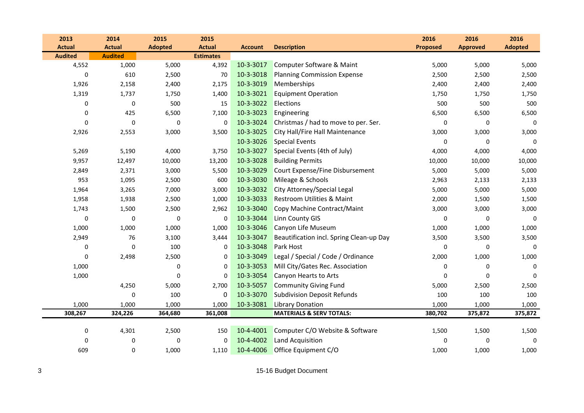| 2013           | 2014           | 2015             | 2015             |                |                                          | 2016             | 2016            | 2016           |
|----------------|----------------|------------------|------------------|----------------|------------------------------------------|------------------|-----------------|----------------|
| <b>Actual</b>  | <b>Actual</b>  | <b>Adopted</b>   | <b>Actual</b>    | <b>Account</b> | <b>Description</b>                       | Proposed         | <b>Approved</b> | <b>Adopted</b> |
| <b>Audited</b> | <b>Audited</b> |                  | <b>Estimates</b> |                |                                          |                  |                 |                |
| 4,552          | 1,000          | 5,000            | 4,392            | 10-3-3017      | Computer Software & Maint                | 5,000            | 5,000           | 5,000          |
| $\Omega$       | 610            | 2,500            | 70               | 10-3-3018      | <b>Planning Commission Expense</b>       | 2,500            | 2,500           | 2,500          |
| 1,926          | 2,158          | 2,400            | 2,175            | 10-3-3019      | Memberships                              | 2,400            | 2,400           | 2,400          |
| 1,319          | 1,737          | 1,750            | 1,400            | 10-3-3021      | <b>Equipment Operation</b>               | 1,750            | 1,750           | 1,750          |
| 0              | 0              | 500              | 15               | 10-3-3022      | Elections                                | 500              | 500             | 500            |
| 0              | 425            | 6,500            | 7,100            | 10-3-3023      | Engineering                              | 6,500            | 6,500           | 6,500          |
| $\mathbf{0}$   | $\pmb{0}$      | $\mathbf 0$      | $\mathbf 0$      | 10-3-3024      | Christmas / had to move to per. Ser.     | 0                | 0               | $\mathbf 0$    |
| 2,926          | 2,553          | 3,000            | 3,500            | 10-3-3025      | City Hall/Fire Hall Maintenance          | 3,000            | 3,000           | 3,000          |
|                |                |                  |                  | 10-3-3026      | <b>Special Events</b>                    | 0                | 0               | $\mathbf 0$    |
| 5,269          | 5,190          | 4,000            | 3,750            | 10-3-3027      | Special Events (4th of July)             | 4,000            | 4,000           | 4,000          |
| 9,957          | 12,497         | 10,000           | 13,200           | 10-3-3028      | <b>Building Permits</b>                  | 10,000           | 10,000          | 10,000         |
| 2,849          | 2,371          | 3,000            | 5,500            | 10-3-3029      | Court Expense/Fine Disbursement          | 5,000            | 5,000           | 5,000          |
| 953            | 1,095          | 2,500            | 600              | 10-3-3030      | Mileage & Schools                        | 2,963            | 2,133           | 2,133          |
| 1,964          | 3,265          | 7,000            | 3,000            | 10-3-3032      | City Attorney/Special Legal              | 5,000            | 5,000           | 5,000          |
| 1,958          | 1,938          | 2,500            | 1,000            | 10-3-3033      | Restroom Utilities & Maint               | 2,000            | 1,500           | 1,500          |
| 1,743          | 1,500          | 2,500            | 2,962            | 10-3-3040      | Copy Machine Contract/Maint              | 3,000            | 3,000           | 3,000          |
| $\mathbf 0$    | 0              | $\mathbf 0$      | 0                | 10-3-3044      | <b>Linn County GIS</b>                   | $\boldsymbol{0}$ | 0               | $\mathbf 0$    |
| 1,000          | 1,000          | 1,000            | 1,000            | 10-3-3046      | Canyon Life Museum                       | 1,000            | 1,000           | 1,000          |
| 2,949          | 76             | 3,100            | 3,444            | 10-3-3047      | Beautification incl. Spring Clean-up Day | 3,500            | 3,500           | 3,500          |
| $\mathbf 0$    | $\mathbf 0$    | 100              | $\Omega$         | 10-3-3048      | Park Host                                | 0                | 0               | $\Omega$       |
| 0              | 2,498          | 2,500            | $\mathbf 0$      | 10-3-3049      | Legal / Special / Code / Ordinance       | 2,000            | 1,000           | 1,000          |
| 1,000          |                | $\boldsymbol{0}$ | $\mathbf 0$      | 10-3-3053      | Mill City/Gates Rec. Association         | 0                | 0               | 0              |
| 1,000          |                | $\mathbf 0$      | $\mathbf 0$      | 10-3-3054      | Canyon Hearts to Arts                    | 0                | 0               | $\Omega$       |
|                | 4,250          | 5,000            | 2,700            | 10-3-5057      | <b>Community Giving Fund</b>             | 5,000            | 2,500           | 2,500          |
|                | $\Omega$       | 100              | 0                | 10-3-3070      | <b>Subdivision Deposit Refunds</b>       | 100              | 100             | 100            |
| 1,000          | 1,000          | 1,000            | 1,000            | 10-3-3081      | <b>Library Donation</b>                  | 1,000            | 1,000           | 1,000          |
| 308,267        | 324,226        | 364,680          | 361,008          |                | <b>MATERIALS &amp; SERV TOTALS:</b>      | 380,702          | 375,872         | 375,872        |
|                |                |                  |                  |                |                                          |                  |                 |                |
| 0              | 4,301          | 2,500            | 150              | 10-4-4001      | Computer C/O Website & Software          | 1,500            | 1,500           | 1,500          |
| 0              | 0              | $\pmb{0}$        | 0                | 10-4-4002      | Land Acquisition                         | 0                | 0               | $\mathbf 0$    |
| 609            | 0              | 1,000            | 1,110            | 10-4-4006      | Office Equipment C/O                     | 1,000            | 1,000           | 1,000          |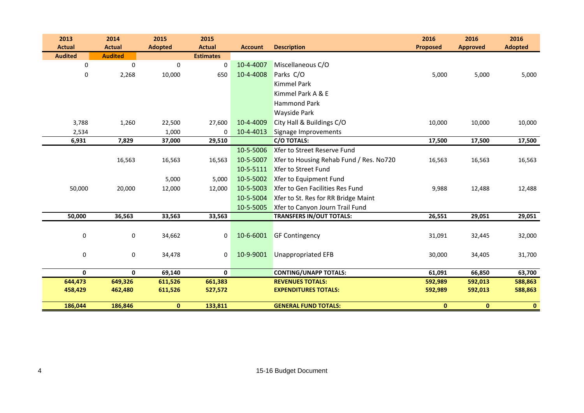| <b>Adopted</b><br><b>Approved</b> |
|-----------------------------------|
|                                   |
|                                   |
| 5,000<br>5,000                    |
|                                   |
|                                   |
|                                   |
|                                   |
| 10,000<br>10,000                  |
|                                   |
| 17,500<br>17,500                  |
|                                   |
| 16,563<br>16,563                  |
|                                   |
|                                   |
| 12,488<br>12,488                  |
|                                   |
|                                   |
| 29,051<br>29,051                  |
|                                   |
| 32,445<br>32,000                  |
|                                   |
| 34,405<br>31,700                  |
|                                   |
| 66,850<br>63,700                  |
| 592,013<br>588,863                |
| 588,863<br>592,013                |
| $\mathbf{0}$<br>$\mathbf{0}$      |
|                                   |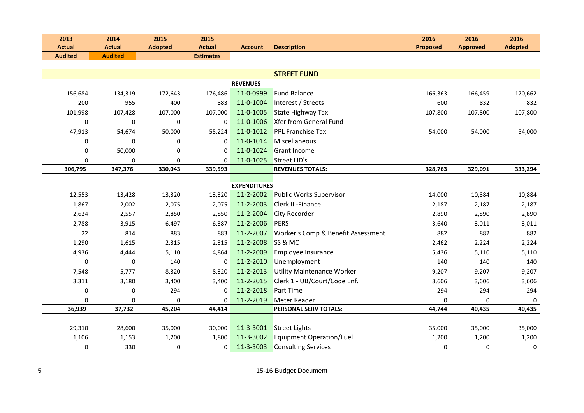| 2013           | 2014           | 2015           | 2015             |                     |                                    | 2016            | 2016            | 2016           |
|----------------|----------------|----------------|------------------|---------------------|------------------------------------|-----------------|-----------------|----------------|
| <b>Actual</b>  | <b>Actual</b>  | <b>Adopted</b> | <b>Actual</b>    | <b>Account</b>      | <b>Description</b>                 | <b>Proposed</b> | <b>Approved</b> | <b>Adopted</b> |
| <b>Audited</b> | <b>Audited</b> |                | <b>Estimates</b> |                     |                                    |                 |                 |                |
|                |                |                |                  |                     |                                    |                 |                 |                |
|                |                |                |                  |                     | <b>STREET FUND</b>                 |                 |                 |                |
|                |                |                |                  | <b>REVENUES</b>     |                                    |                 |                 |                |
| 156,684        | 134,319        | 172,643        | 176,486          | 11-0-0999           | <b>Fund Balance</b>                | 166,363         | 166,459         | 170,662        |
| 200            | 955            | 400            | 883              | 11-0-1004           | Interest / Streets                 | 600             | 832             | 832            |
| 101,998        | 107,428        | 107,000        | 107,000          | 11-0-1005           | <b>State Highway Tax</b>           | 107,800         | 107,800         | 107,800        |
| 0              | 0              | $\pmb{0}$      | $\mathbf 0$      | 11-0-1006           | <b>Xfer from General Fund</b>      |                 |                 |                |
| 47,913         | 54,674         | 50,000         | 55,224           | 11-0-1012           | <b>PPL Franchise Tax</b>           | 54,000          | 54,000          | 54,000         |
| $\mathbf 0$    | 0              | 0              | 0                | 11-0-1014           | Miscellaneous                      |                 |                 |                |
| 0              | 50,000         | 0              | $\Omega$         | 11-0-1024           | <b>Grant Income</b>                |                 |                 |                |
| 0              | 0              | 0              | 0                | 11-0-1025           | Street LID's                       |                 |                 |                |
| 306,795        | 347,376        | 330,043        | 339,593          |                     | <b>REVENUES TOTALS:</b>            | 328,763         | 329,091         | 333,294        |
|                |                |                |                  | <b>EXPENDITURES</b> |                                    |                 |                 |                |
| 12,553         | 13,428         | 13,320         | 13,320           | 11-2-2002           | <b>Public Works Supervisor</b>     | 14,000          | 10,884          | 10,884         |
| 1,867          | 2,002          | 2,075          | 2,075            | 11-2-2003           | Clerk II - Finance                 | 2,187           | 2,187           | 2,187          |
| 2,624          | 2,557          | 2,850          | 2,850            | 11-2-2004           | City Recorder                      | 2,890           | 2,890           | 2,890          |
| 2,788          |                |                |                  | 11-2-2006           | PERS                               |                 |                 |                |
|                | 3,915          | 6,497          | 6,387            |                     |                                    | 3,640           | 3,011           | 3,011          |
| 22             | 814            | 883            | 883              | 11-2-2007           | Worker's Comp & Benefit Assessment | 882             | 882             | 882            |
| 1,290          | 1,615          | 2,315          | 2,315            | 11-2-2008           | SS & MC                            | 2,462           | 2,224           | 2,224          |
| 4,936          | 4,444          | 5,110          | 4,864            | 11-2-2009           | Employee Insurance                 | 5,436           | 5,110           | 5,110          |
| $\mathbf 0$    | 0              | 140            | 0                | 11-2-2010           | Unemployment                       | 140             | 140             | 140            |
| 7,548          | 5,777          | 8,320          | 8,320            | 11-2-2013           | <b>Utility Maintenance Worker</b>  | 9,207           | 9,207           | 9,207          |
| 3,311          | 3,180          | 3,400          | 3,400            | 11-2-2015           | Clerk 1 - UB/Court/Code Enf.       | 3,606           | 3,606           | 3,606          |
| 0              | 0              | 294            | 0                | 11-2-2018           | Part Time                          | 294             | 294             | 294            |
| 0              | 0              | $\mathbf 0$    | 0                | 11-2-2019           | Meter Reader                       | $\Omega$        | 0               | 0              |
| 36,939         | 37,732         | 45,204         | 44,414           |                     | PERSONAL SERV TOTALS:              | 44,744          | 40,435          | 40,435         |
|                |                |                |                  |                     |                                    |                 |                 |                |
| 29,310         | 28,600         | 35,000         | 30,000           | 11-3-3001           | <b>Street Lights</b>               | 35,000          | 35,000          | 35,000         |
| 1,106          | 1,153          | 1,200          | 1,800            | 11-3-3002           | <b>Equipment Operation/Fuel</b>    | 1,200           | 1,200           | 1,200          |
| 0              | 330            | 0              | 0                | 11-3-3003           | <b>Consulting Services</b>         | 0               | 0               | 0              |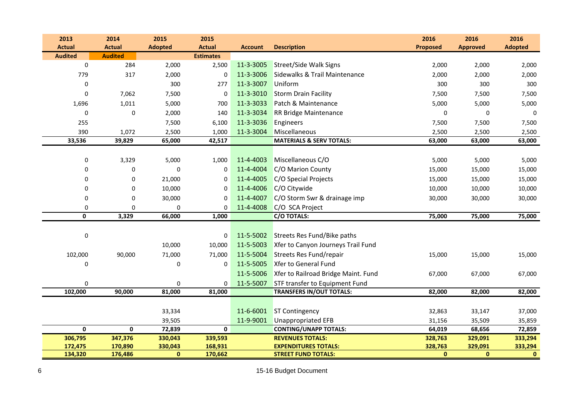| <b>Actual</b><br><b>Actual</b><br><b>Adopted</b><br><b>Actual</b><br><b>Proposed</b><br><b>Adopted</b><br><b>Description</b><br><b>Approved</b><br><b>Account</b><br><b>Audited</b><br><b>Audited</b><br><b>Estimates</b><br>$\mathbf 0$<br>284<br>11-3-3005<br>2,000<br>2,500<br><b>Street/Side Walk Signs</b><br>2,000<br>2,000<br>2,000<br>11-3-3006<br>Sidewalks & Trail Maintenance<br>779<br>317<br>2,000<br>2,000<br>2,000<br>$\Omega$<br>2,000<br>11-3-3007<br>300<br>Uniform<br>300<br>300<br>0<br>277<br>300<br>11-3-3010<br><b>Storm Drain Facility</b><br>7,062<br>7,500<br>$\mathbf 0$<br>$\mathbf 0$<br>7,500<br>7,500<br>7,500<br>11-3-3033<br>Patch & Maintenance<br>1,696<br>1,011<br>5,000<br>700<br>5,000<br>5,000<br>5,000<br>11-3-3034<br>0<br>2,000<br><b>RR Bridge Maintenance</b><br>0<br>$\mathbf 0$<br>0<br>140<br>0<br>11-3-3036<br>255<br>7,500<br>7,500<br>7,500<br>6,100<br>Engineers<br>7,500<br>Miscellaneous<br>390<br>11-3-3004<br>1,072<br>2,500<br>1,000<br>2,500<br>2,500<br>2,500<br><b>MATERIALS &amp; SERV TOTALS:</b><br>33,536<br>39,829<br>65,000<br>42,517<br>63,000<br>63,000<br>63,000<br>11-4-4003<br>Miscellaneous C/O<br>$\pmb{0}$<br>3,329<br>5,000<br>5,000<br>5,000<br>1,000<br>5,000<br>11-4-4004<br>C/O Marion County<br>$\mathbf 0$<br>15,000<br>15,000<br>15,000<br>0<br>0<br>0<br>11-4-4005<br>C/O Special Projects<br>$\mathbf 0$<br>21,000<br>15,000<br>15,000<br>15,000<br>0<br>$\Omega$<br>11-4-4006<br>C/O Citywide<br>$\pmb{0}$<br>10,000<br>10,000<br>10,000<br>10,000<br>$\mathbf 0$<br>$\Omega$<br>11-4-4007<br>C/O Storm Swr & drainage imp<br>30,000<br>0<br>0<br>30,000<br>30,000<br>30,000<br>0<br>11-4-4008<br>C/O SCA Project<br>$\Omega$<br>0<br>$\Omega$<br>0<br>75,000<br>0<br>3,329<br>66,000<br><b>C/O TOTALS:</b><br>75,000<br>1,000<br>75,000<br>11-5-5002<br>Streets Res Fund/Bike paths<br>0<br>$\mathbf 0$<br>11-5-5003<br>Xfer to Canyon Journeys Trail Fund<br>10,000<br>10,000<br>11-5-5004<br>Streets Res Fund/repair<br>102,000<br>90,000<br>71,000<br>71,000<br>15,000<br>15,000<br>15,000<br>11-5-5005<br>Xfer to General Fund<br>0<br>$\pmb{0}$<br>$\mathbf 0$<br>Xfer to Railroad Bridge Maint. Fund<br>11-5-5006<br>67,000<br>67,000<br>67,000<br>11-5-5007<br>STF transfer to Equipment Fund<br>$\pmb{0}$<br>$\mathbf 0$<br>$\Omega$<br>102,000<br>90,000<br>81,000<br><b>TRANSFERS IN/OUT TOTALS:</b><br>82,000<br>82,000<br>82,000<br>81,000<br>11-6-6001<br><b>ST Contingency</b><br>33,334<br>32,863<br>33,147<br>37,000<br>11-9-9001<br><b>Unappropriated EFB</b><br>39,505<br>31,156<br>35,509<br>35,859<br>$\pmb{0}$<br>$\mathbf 0$<br>72,839<br>$\mathbf 0$<br>64,019<br><b>CONTING/UNAPP TOTALS:</b><br>68,656<br>72,859<br>306,795<br>347,376<br><b>REVENUES TOTALS:</b><br>330,043<br>339,593<br>328,763<br>329,091<br>333,294<br>172,475<br>170,890<br>330,043<br>168,931<br><b>EXPENDITURES TOTALS:</b><br>328,763<br>329,091<br>333,294 | 2013    | 2014    | 2015        | 2015    |                            | 2016         | 2016         | 2016         |
|----------------------------------------------------------------------------------------------------------------------------------------------------------------------------------------------------------------------------------------------------------------------------------------------------------------------------------------------------------------------------------------------------------------------------------------------------------------------------------------------------------------------------------------------------------------------------------------------------------------------------------------------------------------------------------------------------------------------------------------------------------------------------------------------------------------------------------------------------------------------------------------------------------------------------------------------------------------------------------------------------------------------------------------------------------------------------------------------------------------------------------------------------------------------------------------------------------------------------------------------------------------------------------------------------------------------------------------------------------------------------------------------------------------------------------------------------------------------------------------------------------------------------------------------------------------------------------------------------------------------------------------------------------------------------------------------------------------------------------------------------------------------------------------------------------------------------------------------------------------------------------------------------------------------------------------------------------------------------------------------------------------------------------------------------------------------------------------------------------------------------------------------------------------------------------------------------------------------------------------------------------------------------------------------------------------------------------------------------------------------------------------------------------------------------------------------------------------------------------------------------------------------------------------------------------------------------------------------------------------------------------------------------------------------------------------------------------------------------------------------------------------------------------------------------------------------------------------------------------------------------------------------------------------------------------------------------|---------|---------|-------------|---------|----------------------------|--------------|--------------|--------------|
|                                                                                                                                                                                                                                                                                                                                                                                                                                                                                                                                                                                                                                                                                                                                                                                                                                                                                                                                                                                                                                                                                                                                                                                                                                                                                                                                                                                                                                                                                                                                                                                                                                                                                                                                                                                                                                                                                                                                                                                                                                                                                                                                                                                                                                                                                                                                                                                                                                                                                                                                                                                                                                                                                                                                                                                                                                                                                                                                                    |         |         |             |         |                            |              |              |              |
|                                                                                                                                                                                                                                                                                                                                                                                                                                                                                                                                                                                                                                                                                                                                                                                                                                                                                                                                                                                                                                                                                                                                                                                                                                                                                                                                                                                                                                                                                                                                                                                                                                                                                                                                                                                                                                                                                                                                                                                                                                                                                                                                                                                                                                                                                                                                                                                                                                                                                                                                                                                                                                                                                                                                                                                                                                                                                                                                                    |         |         |             |         |                            |              |              |              |
|                                                                                                                                                                                                                                                                                                                                                                                                                                                                                                                                                                                                                                                                                                                                                                                                                                                                                                                                                                                                                                                                                                                                                                                                                                                                                                                                                                                                                                                                                                                                                                                                                                                                                                                                                                                                                                                                                                                                                                                                                                                                                                                                                                                                                                                                                                                                                                                                                                                                                                                                                                                                                                                                                                                                                                                                                                                                                                                                                    |         |         |             |         |                            |              |              |              |
|                                                                                                                                                                                                                                                                                                                                                                                                                                                                                                                                                                                                                                                                                                                                                                                                                                                                                                                                                                                                                                                                                                                                                                                                                                                                                                                                                                                                                                                                                                                                                                                                                                                                                                                                                                                                                                                                                                                                                                                                                                                                                                                                                                                                                                                                                                                                                                                                                                                                                                                                                                                                                                                                                                                                                                                                                                                                                                                                                    |         |         |             |         |                            |              |              |              |
|                                                                                                                                                                                                                                                                                                                                                                                                                                                                                                                                                                                                                                                                                                                                                                                                                                                                                                                                                                                                                                                                                                                                                                                                                                                                                                                                                                                                                                                                                                                                                                                                                                                                                                                                                                                                                                                                                                                                                                                                                                                                                                                                                                                                                                                                                                                                                                                                                                                                                                                                                                                                                                                                                                                                                                                                                                                                                                                                                    |         |         |             |         |                            |              |              |              |
|                                                                                                                                                                                                                                                                                                                                                                                                                                                                                                                                                                                                                                                                                                                                                                                                                                                                                                                                                                                                                                                                                                                                                                                                                                                                                                                                                                                                                                                                                                                                                                                                                                                                                                                                                                                                                                                                                                                                                                                                                                                                                                                                                                                                                                                                                                                                                                                                                                                                                                                                                                                                                                                                                                                                                                                                                                                                                                                                                    |         |         |             |         |                            |              |              |              |
|                                                                                                                                                                                                                                                                                                                                                                                                                                                                                                                                                                                                                                                                                                                                                                                                                                                                                                                                                                                                                                                                                                                                                                                                                                                                                                                                                                                                                                                                                                                                                                                                                                                                                                                                                                                                                                                                                                                                                                                                                                                                                                                                                                                                                                                                                                                                                                                                                                                                                                                                                                                                                                                                                                                                                                                                                                                                                                                                                    |         |         |             |         |                            |              |              |              |
|                                                                                                                                                                                                                                                                                                                                                                                                                                                                                                                                                                                                                                                                                                                                                                                                                                                                                                                                                                                                                                                                                                                                                                                                                                                                                                                                                                                                                                                                                                                                                                                                                                                                                                                                                                                                                                                                                                                                                                                                                                                                                                                                                                                                                                                                                                                                                                                                                                                                                                                                                                                                                                                                                                                                                                                                                                                                                                                                                    |         |         |             |         |                            |              |              |              |
|                                                                                                                                                                                                                                                                                                                                                                                                                                                                                                                                                                                                                                                                                                                                                                                                                                                                                                                                                                                                                                                                                                                                                                                                                                                                                                                                                                                                                                                                                                                                                                                                                                                                                                                                                                                                                                                                                                                                                                                                                                                                                                                                                                                                                                                                                                                                                                                                                                                                                                                                                                                                                                                                                                                                                                                                                                                                                                                                                    |         |         |             |         |                            |              |              |              |
|                                                                                                                                                                                                                                                                                                                                                                                                                                                                                                                                                                                                                                                                                                                                                                                                                                                                                                                                                                                                                                                                                                                                                                                                                                                                                                                                                                                                                                                                                                                                                                                                                                                                                                                                                                                                                                                                                                                                                                                                                                                                                                                                                                                                                                                                                                                                                                                                                                                                                                                                                                                                                                                                                                                                                                                                                                                                                                                                                    |         |         |             |         |                            |              |              |              |
|                                                                                                                                                                                                                                                                                                                                                                                                                                                                                                                                                                                                                                                                                                                                                                                                                                                                                                                                                                                                                                                                                                                                                                                                                                                                                                                                                                                                                                                                                                                                                                                                                                                                                                                                                                                                                                                                                                                                                                                                                                                                                                                                                                                                                                                                                                                                                                                                                                                                                                                                                                                                                                                                                                                                                                                                                                                                                                                                                    |         |         |             |         |                            |              |              |              |
|                                                                                                                                                                                                                                                                                                                                                                                                                                                                                                                                                                                                                                                                                                                                                                                                                                                                                                                                                                                                                                                                                                                                                                                                                                                                                                                                                                                                                                                                                                                                                                                                                                                                                                                                                                                                                                                                                                                                                                                                                                                                                                                                                                                                                                                                                                                                                                                                                                                                                                                                                                                                                                                                                                                                                                                                                                                                                                                                                    |         |         |             |         |                            |              |              |              |
|                                                                                                                                                                                                                                                                                                                                                                                                                                                                                                                                                                                                                                                                                                                                                                                                                                                                                                                                                                                                                                                                                                                                                                                                                                                                                                                                                                                                                                                                                                                                                                                                                                                                                                                                                                                                                                                                                                                                                                                                                                                                                                                                                                                                                                                                                                                                                                                                                                                                                                                                                                                                                                                                                                                                                                                                                                                                                                                                                    |         |         |             |         |                            |              |              |              |
|                                                                                                                                                                                                                                                                                                                                                                                                                                                                                                                                                                                                                                                                                                                                                                                                                                                                                                                                                                                                                                                                                                                                                                                                                                                                                                                                                                                                                                                                                                                                                                                                                                                                                                                                                                                                                                                                                                                                                                                                                                                                                                                                                                                                                                                                                                                                                                                                                                                                                                                                                                                                                                                                                                                                                                                                                                                                                                                                                    |         |         |             |         |                            |              |              |              |
|                                                                                                                                                                                                                                                                                                                                                                                                                                                                                                                                                                                                                                                                                                                                                                                                                                                                                                                                                                                                                                                                                                                                                                                                                                                                                                                                                                                                                                                                                                                                                                                                                                                                                                                                                                                                                                                                                                                                                                                                                                                                                                                                                                                                                                                                                                                                                                                                                                                                                                                                                                                                                                                                                                                                                                                                                                                                                                                                                    |         |         |             |         |                            |              |              |              |
|                                                                                                                                                                                                                                                                                                                                                                                                                                                                                                                                                                                                                                                                                                                                                                                                                                                                                                                                                                                                                                                                                                                                                                                                                                                                                                                                                                                                                                                                                                                                                                                                                                                                                                                                                                                                                                                                                                                                                                                                                                                                                                                                                                                                                                                                                                                                                                                                                                                                                                                                                                                                                                                                                                                                                                                                                                                                                                                                                    |         |         |             |         |                            |              |              |              |
|                                                                                                                                                                                                                                                                                                                                                                                                                                                                                                                                                                                                                                                                                                                                                                                                                                                                                                                                                                                                                                                                                                                                                                                                                                                                                                                                                                                                                                                                                                                                                                                                                                                                                                                                                                                                                                                                                                                                                                                                                                                                                                                                                                                                                                                                                                                                                                                                                                                                                                                                                                                                                                                                                                                                                                                                                                                                                                                                                    |         |         |             |         |                            |              |              |              |
|                                                                                                                                                                                                                                                                                                                                                                                                                                                                                                                                                                                                                                                                                                                                                                                                                                                                                                                                                                                                                                                                                                                                                                                                                                                                                                                                                                                                                                                                                                                                                                                                                                                                                                                                                                                                                                                                                                                                                                                                                                                                                                                                                                                                                                                                                                                                                                                                                                                                                                                                                                                                                                                                                                                                                                                                                                                                                                                                                    |         |         |             |         |                            |              |              |              |
|                                                                                                                                                                                                                                                                                                                                                                                                                                                                                                                                                                                                                                                                                                                                                                                                                                                                                                                                                                                                                                                                                                                                                                                                                                                                                                                                                                                                                                                                                                                                                                                                                                                                                                                                                                                                                                                                                                                                                                                                                                                                                                                                                                                                                                                                                                                                                                                                                                                                                                                                                                                                                                                                                                                                                                                                                                                                                                                                                    |         |         |             |         |                            |              |              |              |
|                                                                                                                                                                                                                                                                                                                                                                                                                                                                                                                                                                                                                                                                                                                                                                                                                                                                                                                                                                                                                                                                                                                                                                                                                                                                                                                                                                                                                                                                                                                                                                                                                                                                                                                                                                                                                                                                                                                                                                                                                                                                                                                                                                                                                                                                                                                                                                                                                                                                                                                                                                                                                                                                                                                                                                                                                                                                                                                                                    |         |         |             |         |                            |              |              |              |
|                                                                                                                                                                                                                                                                                                                                                                                                                                                                                                                                                                                                                                                                                                                                                                                                                                                                                                                                                                                                                                                                                                                                                                                                                                                                                                                                                                                                                                                                                                                                                                                                                                                                                                                                                                                                                                                                                                                                                                                                                                                                                                                                                                                                                                                                                                                                                                                                                                                                                                                                                                                                                                                                                                                                                                                                                                                                                                                                                    |         |         |             |         |                            |              |              |              |
|                                                                                                                                                                                                                                                                                                                                                                                                                                                                                                                                                                                                                                                                                                                                                                                                                                                                                                                                                                                                                                                                                                                                                                                                                                                                                                                                                                                                                                                                                                                                                                                                                                                                                                                                                                                                                                                                                                                                                                                                                                                                                                                                                                                                                                                                                                                                                                                                                                                                                                                                                                                                                                                                                                                                                                                                                                                                                                                                                    |         |         |             |         |                            |              |              |              |
|                                                                                                                                                                                                                                                                                                                                                                                                                                                                                                                                                                                                                                                                                                                                                                                                                                                                                                                                                                                                                                                                                                                                                                                                                                                                                                                                                                                                                                                                                                                                                                                                                                                                                                                                                                                                                                                                                                                                                                                                                                                                                                                                                                                                                                                                                                                                                                                                                                                                                                                                                                                                                                                                                                                                                                                                                                                                                                                                                    |         |         |             |         |                            |              |              |              |
|                                                                                                                                                                                                                                                                                                                                                                                                                                                                                                                                                                                                                                                                                                                                                                                                                                                                                                                                                                                                                                                                                                                                                                                                                                                                                                                                                                                                                                                                                                                                                                                                                                                                                                                                                                                                                                                                                                                                                                                                                                                                                                                                                                                                                                                                                                                                                                                                                                                                                                                                                                                                                                                                                                                                                                                                                                                                                                                                                    |         |         |             |         |                            |              |              |              |
|                                                                                                                                                                                                                                                                                                                                                                                                                                                                                                                                                                                                                                                                                                                                                                                                                                                                                                                                                                                                                                                                                                                                                                                                                                                                                                                                                                                                                                                                                                                                                                                                                                                                                                                                                                                                                                                                                                                                                                                                                                                                                                                                                                                                                                                                                                                                                                                                                                                                                                                                                                                                                                                                                                                                                                                                                                                                                                                                                    |         |         |             |         |                            |              |              |              |
|                                                                                                                                                                                                                                                                                                                                                                                                                                                                                                                                                                                                                                                                                                                                                                                                                                                                                                                                                                                                                                                                                                                                                                                                                                                                                                                                                                                                                                                                                                                                                                                                                                                                                                                                                                                                                                                                                                                                                                                                                                                                                                                                                                                                                                                                                                                                                                                                                                                                                                                                                                                                                                                                                                                                                                                                                                                                                                                                                    |         |         |             |         |                            |              |              |              |
|                                                                                                                                                                                                                                                                                                                                                                                                                                                                                                                                                                                                                                                                                                                                                                                                                                                                                                                                                                                                                                                                                                                                                                                                                                                                                                                                                                                                                                                                                                                                                                                                                                                                                                                                                                                                                                                                                                                                                                                                                                                                                                                                                                                                                                                                                                                                                                                                                                                                                                                                                                                                                                                                                                                                                                                                                                                                                                                                                    |         |         |             |         |                            |              |              |              |
|                                                                                                                                                                                                                                                                                                                                                                                                                                                                                                                                                                                                                                                                                                                                                                                                                                                                                                                                                                                                                                                                                                                                                                                                                                                                                                                                                                                                                                                                                                                                                                                                                                                                                                                                                                                                                                                                                                                                                                                                                                                                                                                                                                                                                                                                                                                                                                                                                                                                                                                                                                                                                                                                                                                                                                                                                                                                                                                                                    |         |         |             |         |                            |              |              |              |
|                                                                                                                                                                                                                                                                                                                                                                                                                                                                                                                                                                                                                                                                                                                                                                                                                                                                                                                                                                                                                                                                                                                                                                                                                                                                                                                                                                                                                                                                                                                                                                                                                                                                                                                                                                                                                                                                                                                                                                                                                                                                                                                                                                                                                                                                                                                                                                                                                                                                                                                                                                                                                                                                                                                                                                                                                                                                                                                                                    |         |         |             |         |                            |              |              |              |
|                                                                                                                                                                                                                                                                                                                                                                                                                                                                                                                                                                                                                                                                                                                                                                                                                                                                                                                                                                                                                                                                                                                                                                                                                                                                                                                                                                                                                                                                                                                                                                                                                                                                                                                                                                                                                                                                                                                                                                                                                                                                                                                                                                                                                                                                                                                                                                                                                                                                                                                                                                                                                                                                                                                                                                                                                                                                                                                                                    |         |         |             |         |                            |              |              |              |
|                                                                                                                                                                                                                                                                                                                                                                                                                                                                                                                                                                                                                                                                                                                                                                                                                                                                                                                                                                                                                                                                                                                                                                                                                                                                                                                                                                                                                                                                                                                                                                                                                                                                                                                                                                                                                                                                                                                                                                                                                                                                                                                                                                                                                                                                                                                                                                                                                                                                                                                                                                                                                                                                                                                                                                                                                                                                                                                                                    |         |         |             |         |                            |              |              |              |
|                                                                                                                                                                                                                                                                                                                                                                                                                                                                                                                                                                                                                                                                                                                                                                                                                                                                                                                                                                                                                                                                                                                                                                                                                                                                                                                                                                                                                                                                                                                                                                                                                                                                                                                                                                                                                                                                                                                                                                                                                                                                                                                                                                                                                                                                                                                                                                                                                                                                                                                                                                                                                                                                                                                                                                                                                                                                                                                                                    |         |         |             |         |                            |              |              |              |
|                                                                                                                                                                                                                                                                                                                                                                                                                                                                                                                                                                                                                                                                                                                                                                                                                                                                                                                                                                                                                                                                                                                                                                                                                                                                                                                                                                                                                                                                                                                                                                                                                                                                                                                                                                                                                                                                                                                                                                                                                                                                                                                                                                                                                                                                                                                                                                                                                                                                                                                                                                                                                                                                                                                                                                                                                                                                                                                                                    | 134,320 | 176,486 | $\mathbf 0$ | 170,662 | <b>STREET FUND TOTALS:</b> | $\mathbf{0}$ | $\mathbf{0}$ | $\mathbf{0}$ |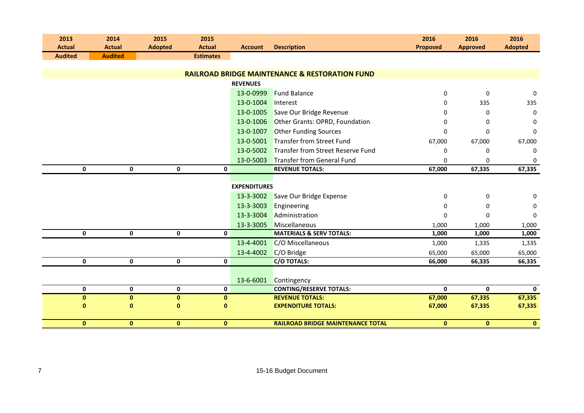| 2013           | 2014                         | 2015           | 2015             |                     |                                                           | 2016            | 2016            | 2016           |
|----------------|------------------------------|----------------|------------------|---------------------|-----------------------------------------------------------|-----------------|-----------------|----------------|
| <b>Actual</b>  | <b>Actual</b>                | <b>Adopted</b> | <b>Actual</b>    | <b>Account</b>      | <b>Description</b>                                        | <b>Proposed</b> | <b>Approved</b> | <b>Adopted</b> |
| <b>Audited</b> | <b>Audited</b>               |                | <b>Estimates</b> |                     |                                                           |                 |                 |                |
|                |                              |                |                  |                     |                                                           |                 |                 |                |
|                |                              |                |                  |                     | <b>RAILROAD BRIDGE MAINTENANCE &amp; RESTORATION FUND</b> |                 |                 |                |
|                |                              |                |                  | <b>REVENUES</b>     |                                                           |                 |                 |                |
|                |                              |                |                  | 13-0-0999           | <b>Fund Balance</b>                                       | $\mathbf 0$     | 0               | 0              |
|                |                              |                |                  | 13-0-1004           | Interest                                                  | U               | 335             | 335            |
|                |                              |                |                  | 13-0-1005           | Save Our Bridge Revenue                                   |                 | 0               | 0              |
|                |                              |                |                  | 13-0-1006           | Other Grants: OPRD, Foundation                            | O               | $\Omega$        | 0              |
|                |                              |                |                  | 13-0-1007           | <b>Other Funding Sources</b>                              | $\Omega$        | $\Omega$        | $\mathbf 0$    |
|                |                              |                |                  | 13-0-5001           | <b>Transfer from Street Fund</b>                          | 67,000          | 67,000          | 67,000         |
|                |                              |                |                  | 13-0-5002           | Transfer from Street Reserve Fund                         | 0               | 0               | 0              |
|                |                              |                |                  | 13-0-5003           | <b>Transfer from General Fund</b>                         | 0               | 0               | 0              |
|                | $\mathbf 0$<br>$\mathbf 0$   | $\mathbf 0$    | $\mathbf 0$      |                     | <b>REVENUE TOTALS:</b>                                    | 67,000          | 67,335          | 67,335         |
|                |                              |                |                  |                     |                                                           |                 |                 |                |
|                |                              |                |                  | <b>EXPENDITURES</b> |                                                           |                 |                 |                |
|                |                              |                |                  | 13-3-3002           | Save Our Bridge Expense                                   | $\mathbf 0$     | 0               | 0              |
|                |                              |                |                  | 13-3-3003           | Engineering                                               | 0               | 0               | 0              |
|                |                              |                |                  | 13-3-3004           | Administration                                            | $\mathbf 0$     | 0               | 0              |
|                |                              |                |                  | 13-3-3005           | Miscellaneous                                             | 1,000           | 1,000           | 1,000          |
|                | $\pmb{0}$<br>$\mathbf 0$     | $\mathbf 0$    | $\mathbf 0$      |                     | <b>MATERIALS &amp; SERV TOTALS:</b>                       | 1,000           | 1,000           | 1,000          |
|                |                              |                |                  | 13-4-4001           | C/O Miscellaneous                                         | 1,000           | 1,335           | 1,335          |
|                |                              |                |                  | 13-4-4002           | C/O Bridge                                                | 65,000          | 65,000          | 65,000         |
|                | 0<br>0                       | 0              | 0                |                     | C/O TOTALS:                                               | 66,000          | 66,335          | 66,335         |
|                |                              |                |                  |                     |                                                           |                 |                 |                |
|                |                              |                |                  | 13-6-6001           | Contingency                                               |                 |                 |                |
|                | $\pmb{0}$<br>$\mathbf 0$     | 0              | $\mathbf 0$      |                     | <b>CONTING/RESERVE TOTALS:</b>                            | $\mathbf{0}$    | $\mathbf{0}$    | $\mathbf{0}$   |
|                | $\mathbf 0$<br>$\pmb{0}$     | $\pmb{0}$      | $\pmb{0}$        |                     | <b>REVENUE TOTALS:</b>                                    | 67,000          | 67,335          | 67,335         |
|                | 0<br>$\bf{0}$                | $\bf{0}$       | $\mathbf 0$      |                     | <b>EXPENDITURE TOTALS:</b>                                | 67,000          | 67,335          | 67,335         |
|                |                              |                |                  |                     |                                                           |                 |                 |                |
|                | $\mathbf{0}$<br>$\mathbf{0}$ | $\mathbf{0}$   | $\mathbf{0}$     |                     | <b>RAILROAD BRIDGE MAINTENANCE TOTAL</b>                  | $\mathbf{0}$    | $\mathbf{0}$    | $\mathbf{0}$   |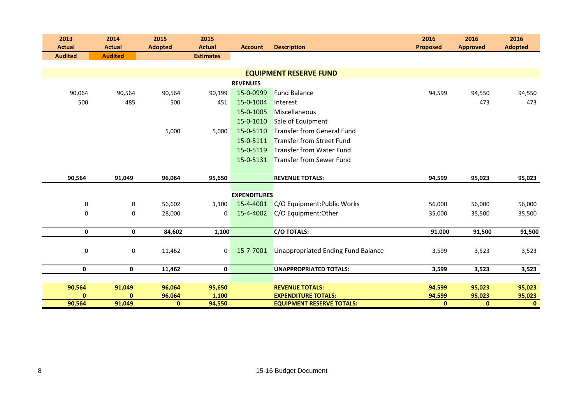| 2013           | 2014                       | 2015           | 2015             |                     |                                           | 2016            | 2016            | 2016           |
|----------------|----------------------------|----------------|------------------|---------------------|-------------------------------------------|-----------------|-----------------|----------------|
| <b>Actual</b>  | <b>Actual</b>              | <b>Adopted</b> | <b>Actual</b>    | <b>Account</b>      | <b>Description</b>                        | <b>Proposed</b> | <b>Approved</b> | <b>Adopted</b> |
| <b>Audited</b> | <b>Audited</b>             |                | <b>Estimates</b> |                     |                                           |                 |                 |                |
|                |                            |                |                  |                     | <b>EQUIPMENT RESERVE FUND</b>             |                 |                 |                |
|                |                            |                |                  |                     |                                           |                 |                 |                |
|                |                            |                |                  | <b>REVENUES</b>     |                                           |                 |                 |                |
| 90,064         | 90,564                     | 90,564         | 90,199           | 15-0-0999           | <b>Fund Balance</b>                       | 94,599          | 94,550          | 94,550         |
|                | 500<br>485                 | 500            | 451              | 15-0-1004           | Interest                                  |                 | 473             | 473            |
|                |                            |                |                  | 15-0-1005           | Miscellaneous                             |                 |                 |                |
|                |                            |                |                  | 15-0-1010           | Sale of Equipment                         |                 |                 |                |
|                |                            | 5,000          | 5,000            | 15-0-5110           | Transfer from General Fund                |                 |                 |                |
|                |                            |                |                  | 15-0-5111           | Transfer from Street Fund                 |                 |                 |                |
|                |                            |                |                  | 15-0-5119           | <b>Transfer from Water Fund</b>           |                 |                 |                |
|                |                            |                |                  | 15-0-5131           | <b>Transfer from Sewer Fund</b>           |                 |                 |                |
|                |                            |                |                  |                     |                                           |                 |                 |                |
| 90,564         | 91,049                     | 96,064         | 95,650           |                     | <b>REVENUE TOTALS:</b>                    | 94,599          | 95,023          | 95,023         |
|                |                            |                |                  |                     |                                           |                 |                 |                |
|                |                            |                |                  | <b>EXPENDITURES</b> |                                           |                 |                 |                |
|                | $\pmb{0}$<br>0             | 56,602         | 1,100            | 15-4-4001           | C/O Equipment: Public Works               | 56,000          | 56,000          | 56,000         |
|                | 0<br>0                     | 28,000         | 0                | 15-4-4002           | C/O Equipment: Other                      | 35,000          | 35,500          | 35,500         |
|                |                            |                |                  |                     |                                           |                 |                 |                |
|                | $\mathbf 0$<br>$\mathbf 0$ | 84,602         | 1,100            |                     | <b>C/O TOTALS:</b>                        | 91,000          | 91,500          | 91,500         |
|                |                            |                |                  |                     |                                           |                 |                 |                |
|                | 0<br>0                     | 11,462         | 0                | 15-7-7001           | <b>Unappropriated Ending Fund Balance</b> | 3,599           | 3,523           | 3,523          |
|                |                            |                |                  |                     |                                           |                 |                 |                |
|                | 0<br>$\mathbf 0$           | 11,462         | $\mathbf 0$      |                     | <b>UNAPPROPRIATED TOTALS:</b>             | 3,599           | 3,523           | 3,523          |
|                |                            |                |                  |                     |                                           |                 |                 |                |
| 90,564         | 91,049                     | 96,064         | 95,650           |                     | <b>REVENUE TOTALS:</b>                    | 94,599          | 95,023          | 95,023         |
|                | n<br>0                     | 96,064         | 1,100            |                     | <b>EXPENDITURE TOTALS:</b>                | 94,599          | 95,023          | 95,023         |
| 90,564         | 91,049                     | $\mathbf{0}$   | 94,550           |                     | <b>EQUIPMENT RESERVE TOTALS:</b>          | $\mathbf 0$     | 0               | $\mathbf{0}$   |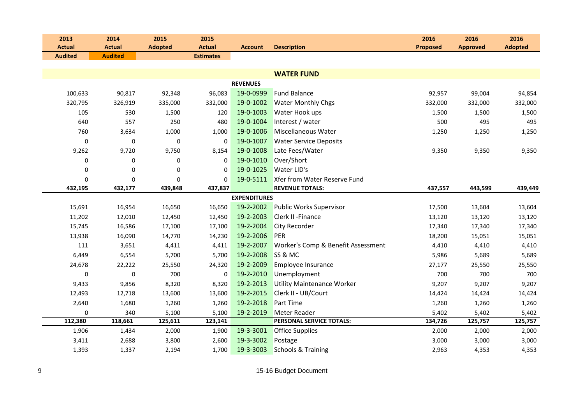| 2013           | 2014           | 2015           | 2015             |                     |                                    | 2016            | 2016            | 2016           |
|----------------|----------------|----------------|------------------|---------------------|------------------------------------|-----------------|-----------------|----------------|
| <b>Actual</b>  | <b>Actual</b>  | <b>Adopted</b> | <b>Actual</b>    | <b>Account</b>      | <b>Description</b>                 | <b>Proposed</b> | <b>Approved</b> | <b>Adopted</b> |
| <b>Audited</b> | <b>Audited</b> |                | <b>Estimates</b> |                     |                                    |                 |                 |                |
|                |                |                |                  |                     |                                    |                 |                 |                |
|                |                |                |                  |                     | <b>WATER FUND</b>                  |                 |                 |                |
|                |                |                |                  | <b>REVENUES</b>     |                                    |                 |                 |                |
| 100,633        | 90,817         | 92,348         | 96,083           | 19-0-0999           | <b>Fund Balance</b>                | 92,957          | 99,004          | 94,854         |
| 320,795        | 326,919        | 335,000        | 332,000          | 19-0-1002           | <b>Water Monthly Chgs</b>          | 332,000         | 332,000         | 332,000        |
| 105            | 530            | 1,500          | 120              | 19-0-1003           | Water Hook ups                     | 1,500           | 1,500           | 1,500          |
| 640            | 557            | 250            | 480              | 19-0-1004           | Interest / water                   | 500             | 495             | 495            |
| 760            | 3,634          | 1,000          | 1,000            | 19-0-1006           | Miscellaneous Water                | 1,250           | 1,250           | 1,250          |
| $\pmb{0}$      | 0              | $\pmb{0}$      | $\mathbf 0$      | 19-0-1007           | <b>Water Service Deposits</b>      |                 |                 |                |
| 9,262          | 9,720          | 9,750          | 8,154            | 19-0-1008           | Late Fees/Water                    | 9,350           | 9,350           | 9,350          |
| 0              | 0              | 0              | $\Omega$         | 19-0-1010           | Over/Short                         |                 |                 |                |
| 0              | 0              | 0              | $\mathbf 0$      | 19-0-1025           | Water LID's                        |                 |                 |                |
| 0              | 0              | 0              | $\Omega$         | 19-0-5111           | Xfer from Water Reserve Fund       |                 |                 |                |
| 432,195        | 432,177        | 439,848        | 437,837          |                     | <b>REVENUE TOTALS:</b>             | 437,557         | 443,599         | 439,449        |
|                |                |                |                  | <b>EXPENDITURES</b> |                                    |                 |                 |                |
| 15,691         | 16,954         | 16,650         | 16,650           | 19-2-2002           | Public Works Supervisor            | 17,500          | 13,604          | 13,604         |
| 11,202         | 12,010         | 12,450         | 12,450           | 19-2-2003           | Clerk II - Finance                 | 13,120          | 13,120          | 13,120         |
| 15,745         | 16,586         | 17,100         | 17,100           | 19-2-2004           | <b>City Recorder</b>               | 17,340          | 17,340          | 17,340         |
| 13,938         | 16,090         | 14,770         | 14,230           | 19-2-2006           | PER                                | 18,200          | 15,051          | 15,051         |
| 111            | 3,651          | 4,411          | 4,411            | 19-2-2007           | Worker's Comp & Benefit Assessment | 4,410           | 4,410           | 4,410          |
| 6,449          | 6,554          | 5,700          | 5,700            | 19-2-2008           | SS & MC                            | 5,986           | 5,689           | 5,689          |
| 24,678         | 22,222         | 25,550         | 24,320           | 19-2-2009           | Employee Insurance                 | 27,177          | 25,550          | 25,550         |
| 0              | 0              | 700            | 0                | 19-2-2010           | Unemployment                       | 700             | 700             | 700            |
| 9,433          | 9,856          | 8,320          | 8,320            | 19-2-2013           | Utility Maintenance Worker         | 9,207           | 9,207           | 9,207          |
| 12,493         | 12,718         | 13,600         | 13,600           | 19-2-2015           | Clerk II - UB/Court                | 14,424          | 14,424          | 14,424         |
| 2,640          | 1,680          | 1,260          | 1,260            | 19-2-2018           | Part Time                          | 1,260           | 1,260           | 1,260          |
| $\mathbf 0$    | 340            | 5,100          | 5,100            | 19-2-2019           | <b>Meter Reader</b>                | 5,402           | 5,402           | 5,402          |
| 112,380        | 118,661        | 125,611        | 123,141          |                     | PERSONAL SERVICE TOTALS:           | 134,726         | 125,757         | 125,757        |
| 1,906          | 1,434          | 2,000          | 1,900            | 19-3-3001           | <b>Office Supplies</b>             | 2,000           | 2,000           | 2,000          |
| 3,411          | 2,688          | 3,800          | 2,600            | 19-3-3002           | Postage                            | 3,000           | 3,000           | 3,000          |
| 1,393          | 1,337          | 2,194          | 1,700            | 19-3-3003           | <b>Schools &amp; Training</b>      | 2,963           | 4,353           | 4,353          |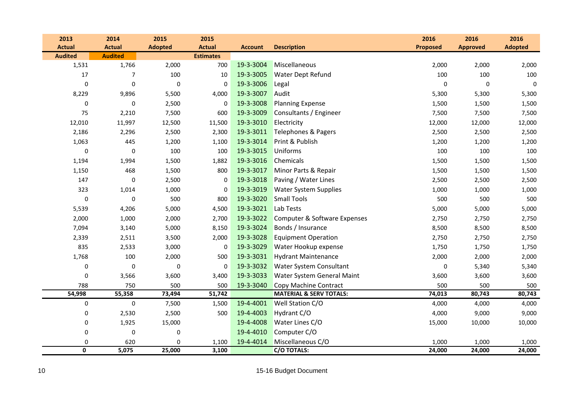| 2013           | 2014             | 2015           | 2015             |                |                                    | 2016            | 2016            | 2016           |
|----------------|------------------|----------------|------------------|----------------|------------------------------------|-----------------|-----------------|----------------|
| <b>Actual</b>  | <b>Actual</b>    | <b>Adopted</b> | <b>Actual</b>    | <b>Account</b> | <b>Description</b>                 | <b>Proposed</b> | <b>Approved</b> | <b>Adopted</b> |
| <b>Audited</b> | <b>Audited</b>   |                | <b>Estimates</b> |                |                                    |                 |                 |                |
| 1,531          | 1,766            | 2,000          | 700              | 19-3-3004      | Miscellaneous                      | 2,000           | 2,000           | 2,000          |
| 17             | 7                | 100            | 10               | 19-3-3005      | <b>Water Dept Refund</b>           | 100             | 100             | 100            |
| 0              | 0                | $\mathbf 0$    | $\mathbf 0$      | 19-3-3006      | Legal                              | 0               | 0               | $\mathbf 0$    |
| 8,229          | 9,896            | 5,500          | 4,000            | 19-3-3007      | Audit                              | 5,300           | 5,300           | 5,300          |
| $\mathbf 0$    | 0                | 2,500          | $\mathbf 0$      | 19-3-3008      | <b>Planning Expense</b>            | 1,500           | 1,500           | 1,500          |
| 75             | 2,210            | 7,500          | 600              | 19-3-3009      | Consultants / Engineer             | 7,500           | 7,500           | 7,500          |
| 12,010         | 11,997           | 12,500         | 11,500           | 19-3-3010      | Electricity                        | 12,000          | 12,000          | 12,000         |
| 2,186          | 2,296            | 2,500          | 2,300            | 19-3-3011      | Telephones & Pagers                | 2,500           | 2,500           | 2,500          |
| 1,063          | 445              | 1,200          | 1,100            | 19-3-3014      | Print & Publish                    | 1,200           | 1,200           | 1,200          |
| 0              | 0                | 100            | 100              | 19-3-3015      | <b>Uniforms</b>                    | 100             | 100             | 100            |
| 1,194          | 1,994            | 1,500          | 1,882            | 19-3-3016      | Chemicals                          | 1,500           | 1,500           | 1,500          |
| 1,150          | 468              | 1,500          | 800              | 19-3-3017      | Minor Parts & Repair               | 1,500           | 1,500           | 1,500          |
| 147            | $\pmb{0}$        | 2,500          | 0                | 19-3-3018      | Paving / Water Lines               | 2,500           | 2,500           | 2,500          |
| 323            | 1,014            | 1,000          | $\mathbf 0$      | 19-3-3019      | <b>Water System Supplies</b>       | 1,000           | 1,000           | 1,000          |
| $\mathbf 0$    | 0                | 500            | 800              | 19-3-3020      | <b>Small Tools</b>                 | 500             | 500             | 500            |
| 5,539          | 4,206            | 5,000          | 4,500            | 19-3-3021      | Lab Tests                          | 5,000           | 5,000           | 5,000          |
| 2,000          | 1,000            | 2,000          | 2,700            | 19-3-3022      | Computer & Software Expenses       | 2,750           | 2,750           | 2,750          |
| 7,094          | 3,140            | 5,000          | 8,150            | 19-3-3024      | Bonds / Insurance                  | 8,500           | 8,500           | 8,500          |
| 2,339          | 2,511            | 3,500          | 2,000            | 19-3-3028      | <b>Equipment Operation</b>         | 2,750           | 2,750           | 2,750          |
| 835            | 2,533            | 3,000          | $\mathbf 0$      | 19-3-3029      | Water Hookup expense               | 1,750           | 1,750           | 1,750          |
| 1,768          | 100              | 2,000          | 500              | 19-3-3031      | <b>Hydrant Maintenance</b>         | 2,000           | 2,000           | 2,000          |
| $\mathbf 0$    | 0                | $\mathbf 0$    | 0                | 19-3-3032      | <b>Water System Consultant</b>     | 0               | 5,340           | 5,340          |
| $\mathbf 0$    | 3,566            | 3,600          | 3,400            | 19-3-3033      | Water System General Maint         | 3,600           | 3,600           | 3,600          |
| 788            | 750              | 500            | 500              | 19-3-3040      | Copy Machine Contract              | 500             | 500             | 500            |
| 54,998         | 55,358           | 73,494         | 51,742           |                | <b>MATERIAL &amp; SERV TOTALS:</b> | 74,013          | 80,743          | 80,743         |
| $\pmb{0}$      | $\boldsymbol{0}$ | 7,500          | 1,500            | 19-4-4001      | Well Station C/O                   | 4,000           | 4,000           | 4,000          |
| 0              | 2,530            | 2,500          | 500              | 19-4-4003      | Hydrant C/O                        | 4,000           | 9,000           | 9,000          |
| $\pmb{0}$      | 1,925            | 15,000         |                  | 19-4-4008      | Water Lines C/O                    | 15,000          | 10,000          | 10,000         |
| 0              | $\pmb{0}$        | 0              |                  | 19-4-4010      | Computer C/O                       |                 |                 |                |
| $\mathbf 0$    | 620              | $\mathbf 0$    | 1,100            | 19-4-4014      | Miscellaneous C/O                  | 1,000           | 1,000           | 1,000          |
| 0              | 5,075            | 25,000         | 3,100            |                | C/O TOTALS:                        | 24,000          | 24,000          | 24,000         |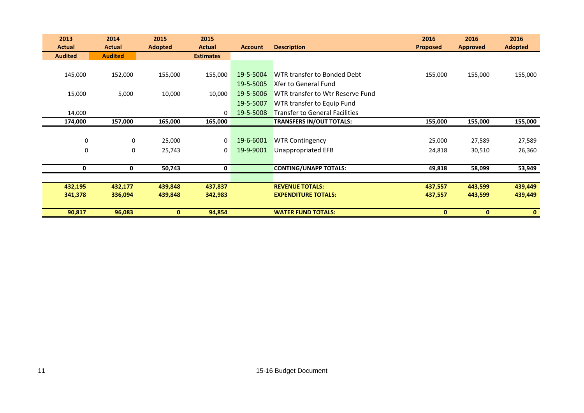| 2013           | 2014           | 2015           | 2015             |                |                                       | 2016            | 2016            | 2016           |
|----------------|----------------|----------------|------------------|----------------|---------------------------------------|-----------------|-----------------|----------------|
| <b>Actual</b>  | <b>Actual</b>  | <b>Adopted</b> | <b>Actual</b>    | <b>Account</b> | <b>Description</b>                    | <b>Proposed</b> | <b>Approved</b> | <b>Adopted</b> |
| <b>Audited</b> | <b>Audited</b> |                | <b>Estimates</b> |                |                                       |                 |                 |                |
|                |                |                |                  |                |                                       |                 |                 |                |
| 145,000        | 152,000        | 155,000        | 155,000          | 19-5-5004      | WTR transfer to Bonded Debt           | 155,000         | 155,000         | 155,000        |
|                |                |                |                  | 19-5-5005      | Xfer to General Fund                  |                 |                 |                |
| 15,000         | 5,000          | 10,000         | 10,000           | 19-5-5006      | WTR transfer to Wtr Reserve Fund      |                 |                 |                |
|                |                |                |                  | 19-5-5007      | WTR transfer to Equip Fund            |                 |                 |                |
| 14,000         |                |                | $\mathbf{0}$     | 19-5-5008      | <b>Transfer to General Facilities</b> |                 |                 |                |
| 174,000        | 157,000        | 165,000        | 165,000          |                | <b>TRANSFERS IN/OUT TOTALS:</b>       | 155,000         | 155,000         | 155,000        |
|                |                |                |                  |                |                                       |                 |                 |                |
| 0              | $\mathbf 0$    | 25,000         | 0                | 19-6-6001      | <b>WTR Contingency</b>                | 25,000          | 27,589          | 27,589         |
| 0              | 0              | 25,743         | 0                | 19-9-9001      | Unappropriated EFB                    | 24,818          | 30,510          | 26,360         |
|                |                |                |                  |                |                                       |                 |                 |                |
| 0              | 0              | 50,743         | 0                |                | <b>CONTING/UNAPP TOTALS:</b>          | 49,818          | 58,099          | 53,949         |
|                |                |                |                  |                |                                       |                 |                 |                |
| 432,195        | 432,177        | 439,848        | 437,837          |                | <b>REVENUE TOTALS:</b>                | 437,557         | 443,599         | 439,449        |
| 341,378        | 336,094        | 439,848        | 342,983          |                | <b>EXPENDITURE TOTALS:</b>            | 437,557         | 443,599         | 439,449        |
|                |                |                |                  |                |                                       |                 |                 |                |
| 90,817         | 96,083         | $\mathbf{0}$   | 94,854           |                | <b>WATER FUND TOTALS:</b>             | $\mathbf{0}$    | $\mathbf{0}$    | $\mathbf{0}$   |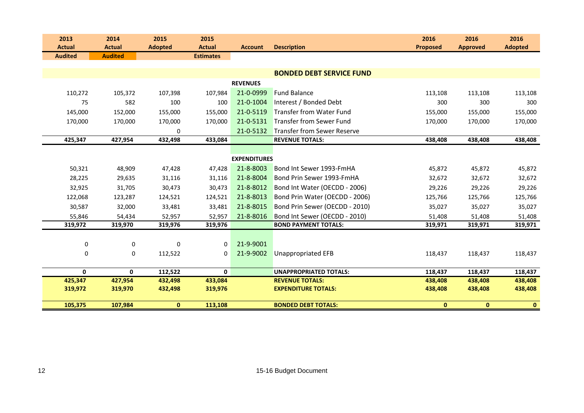| 2013<br><b>Actual</b> |              | 2014<br><b>Actual</b> | 2015<br><b>Adopted</b> | 2015<br><b>Actual</b> | <b>Account</b>      | <b>Description</b>                 | 2016<br><b>Proposed</b> | 2016<br><b>Approved</b> | 2016<br><b>Adopted</b> |
|-----------------------|--------------|-----------------------|------------------------|-----------------------|---------------------|------------------------------------|-------------------------|-------------------------|------------------------|
| <b>Audited</b>        |              | <b>Audited</b>        |                        | <b>Estimates</b>      |                     |                                    |                         |                         |                        |
|                       |              |                       |                        |                       |                     |                                    |                         |                         |                        |
|                       |              |                       |                        |                       |                     | <b>BONDED DEBT SERVICE FUND</b>    |                         |                         |                        |
|                       |              |                       |                        |                       | <b>REVENUES</b>     |                                    |                         |                         |                        |
|                       | 110,272      | 105,372               | 107,398                | 107.984               | 21-0-0999           | <b>Fund Balance</b>                | 113,108                 | 113,108                 | 113,108                |
|                       | 75           | 582                   | 100                    | 100                   | 21-0-1004           | Interest / Bonded Debt             | 300                     | 300                     | 300                    |
|                       | 145,000      | 152,000               | 155,000                | 155,000               | 21-0-5119           | Transfer from Water Fund           | 155,000                 | 155,000                 | 155,000                |
|                       | 170,000      | 170,000               | 170,000                | 170,000               | 21-0-5131           | <b>Transfer from Sewer Fund</b>    | 170,000                 | 170,000                 | 170,000                |
|                       |              |                       | $\mathbf 0$            |                       | 21-0-5132           | <b>Transfer from Sewer Reserve</b> |                         |                         |                        |
|                       | 425,347      | 427,954               | 432,498                | 433,084               |                     | <b>REVENUE TOTALS:</b>             | 438,408                 | 438,408                 | 438,408                |
|                       |              |                       |                        |                       |                     |                                    |                         |                         |                        |
|                       |              |                       |                        |                       | <b>EXPENDITURES</b> |                                    |                         |                         |                        |
|                       | 50,321       | 48,909                | 47,428                 | 47,428                | 21-8-8003           | Bond Int Sewer 1993-FmHA           | 45,872                  | 45,872                  | 45,872                 |
|                       | 28,225       | 29,635                | 31,116                 | 31,116                | 21-8-8004           | Bond Prin Sewer 1993-FmHA          | 32,672                  | 32,672                  | 32,672                 |
|                       | 32,925       | 31,705                | 30,473                 | 30,473                | 21-8-8012           | Bond Int Water (OECDD - 2006)      | 29,226                  | 29,226                  | 29,226                 |
|                       | 122,068      | 123,287               | 124,521                | 124,521               | 21-8-8013           | Bond Prin Water (OECDD - 2006)     | 125,766                 | 125,766                 | 125,766                |
|                       | 30,587       | 32,000                | 33,481                 | 33,481                | 21-8-8015           | Bond Prin Sewer (OECDD - 2010)     | 35,027                  | 35,027                  | 35,027                 |
|                       | 55,846       | 54,434                | 52,957                 | 52,957                | 21-8-8016           | Bond Int Sewer (OECDD - 2010)      | 51,408                  | 51,408                  | 51,408                 |
|                       | 319,972      | 319,970               | 319,976                | 319,976               |                     | <b>BOND PAYMENT TOTALS:</b>        | 319,971                 | 319,971                 | 319,971                |
|                       |              |                       |                        |                       |                     |                                    |                         |                         |                        |
|                       | 0            | 0                     | $\Omega$               | $\Omega$              | 21-9-9001           |                                    |                         |                         |                        |
|                       | 0            | 0                     | 112,522                | 0                     | 21-9-9002           | Unappropriated EFB                 | 118,437                 | 118,437                 | 118,437                |
|                       |              |                       |                        |                       |                     |                                    |                         |                         |                        |
|                       | $\mathbf{0}$ | $\mathbf{0}$          | 112,522                | $\mathbf 0$           |                     | <b>UNAPPROPRIATED TOTALS:</b>      | 118,437                 | 118,437                 | 118,437                |
|                       | 425,347      | 427,954               | 432,498                | 433,084               |                     | <b>REVENUE TOTALS:</b>             | 438,408                 | 438,408                 | 438,408                |
|                       | 319,972      | 319,970               | 432,498                | 319,976               |                     | <b>EXPENDITURE TOTALS:</b>         | 438,408                 | 438,408                 | 438,408                |
|                       | 105,375      | 107,984               | $\mathbf{0}$           | 113,108               |                     | <b>BONDED DEBT TOTALS:</b>         | $\mathbf{0}$            | $\mathbf{0}$            | $\mathbf{0}$           |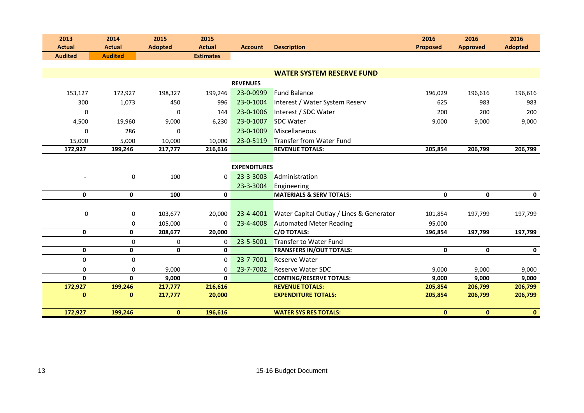| 2013           | 2014           | 2015           | 2015             |                     |                                          | 2016            | 2016            | 2016           |
|----------------|----------------|----------------|------------------|---------------------|------------------------------------------|-----------------|-----------------|----------------|
| <b>Actual</b>  | <b>Actual</b>  | <b>Adopted</b> | <b>Actual</b>    | <b>Account</b>      | <b>Description</b>                       | <b>Proposed</b> | <b>Approved</b> | <b>Adopted</b> |
| <b>Audited</b> | <b>Audited</b> |                | <b>Estimates</b> |                     |                                          |                 |                 |                |
|                |                |                |                  |                     |                                          |                 |                 |                |
|                |                |                |                  |                     | <b>WATER SYSTEM RESERVE FUND</b>         |                 |                 |                |
|                |                |                |                  | <b>REVENUES</b>     |                                          |                 |                 |                |
| 153,127        | 172,927        | 198,327        | 199,246          | 23-0-0999           | <b>Fund Balance</b>                      | 196,029         | 196,616         | 196,616        |
| 300            | 1,073          | 450            | 996              | 23-0-1004           | Interest / Water System Reserv           | 625             | 983             | 983            |
| 0              |                | $\mathbf 0$    | 144              | 23-0-1006           | Interest / SDC Water                     | 200             | 200             | 200            |
| 4,500          | 19,960         | 9,000          | 6,230            | 23-0-1007           | <b>SDC Water</b>                         | 9,000           | 9,000           | 9,000          |
| $\Omega$       | 286            | $\Omega$       |                  | 23-0-1009           | Miscellaneous                            |                 |                 |                |
| 15,000         | 5,000          | 10,000         | 10,000           | 23-0-5119           | Transfer from Water Fund                 |                 |                 |                |
| 172,927        | 199,246        | 217,777        | 216,616          |                     | <b>REVENUE TOTALS:</b>                   | 205,854         | 206,799         | 206,799        |
|                |                |                |                  |                     |                                          |                 |                 |                |
|                |                |                |                  | <b>EXPENDITURES</b> |                                          |                 |                 |                |
| $\blacksquare$ | $\pmb{0}$      | 100            | $\mathbf 0$      | 23-3-3003           | Administration                           |                 |                 |                |
|                |                |                |                  | 23-3-3004           | Engineering                              |                 |                 |                |
| $\mathbf 0$    | $\mathbf 0$    | 100            | $\mathbf{0}$     |                     | <b>MATERIALS &amp; SERV TOTALS:</b>      | $\mathbf{0}$    | $\mathbf{0}$    | $\mathbf 0$    |
|                |                |                |                  |                     |                                          |                 |                 |                |
| 0              | 0              | 103,677        | 20,000           | 23-4-4001           | Water Capital Outlay / Lines & Generator | 101,854         | 197,799         | 197,799        |
|                | 0              | 105,000        | $\Omega$         | 23-4-4008           | <b>Automated Meter Reading</b>           | 95,000          |                 |                |
| $\mathbf 0$    | $\mathbf 0$    | 208,677        | 20,000           |                     | <b>C/O TOTALS:</b>                       | 196,854         | 197,799         | 197,799        |
|                | $\mathbf 0$    | $\mathbf 0$    | $\mathbf 0$      | 23-5-5001           | Transfer to Water Fund                   |                 |                 |                |
| $\mathbf 0$    | $\mathbf 0$    | $\mathbf 0$    | $\mathbf 0$      |                     | <b>TRANSFERS IN/OUT TOTALS:</b>          | $\mathbf 0$     | 0               | $\mathbf 0$    |
| $\mathbf 0$    | $\mathbf 0$    |                | $\Omega$         | 23-7-7001           | Reserve Water                            |                 |                 |                |
| 0              | $\mathbf 0$    | 9,000          | 0                | 23-7-7002           | <b>Reserve Water SDC</b>                 | 9,000           | 9,000           | 9,000          |
| $\mathbf 0$    | $\mathbf{0}$   | 9,000          | $\mathbf{0}$     |                     | <b>CONTING/RESERVE TOTALS:</b>           | 9,000           | 9,000           | 9,000          |
| 172,927        | 199,246        | 217,777        | 216,616          |                     | <b>REVENUE TOTALS:</b>                   | 205,854         | 206,799         | 206,799        |
| $\bf{0}$       | $\bf{0}$       | 217,777        | 20,000           |                     | <b>EXPENDITURE TOTALS:</b>               | 205,854         | 206,799         | 206,799        |
|                |                |                |                  |                     |                                          |                 |                 |                |
| 172,927        | 199,246        | $\mathbf{0}$   | 196,616          |                     | <b>WATER SYS RES TOTALS:</b>             | $\mathbf{0}$    | $\mathbf{0}$    | $\mathbf{0}$   |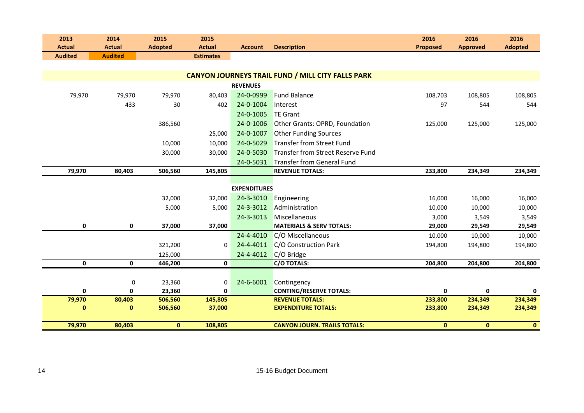| 2013           | 2014           | 2015           | 2015             |                     |                                                          | 2016            | 2016            | 2016           |
|----------------|----------------|----------------|------------------|---------------------|----------------------------------------------------------|-----------------|-----------------|----------------|
| <b>Actual</b>  | <b>Actual</b>  | <b>Adopted</b> | <b>Actual</b>    | <b>Account</b>      | <b>Description</b>                                       | <b>Proposed</b> | <b>Approved</b> | <b>Adopted</b> |
| <b>Audited</b> | <b>Audited</b> |                | <b>Estimates</b> |                     |                                                          |                 |                 |                |
|                |                |                |                  |                     |                                                          |                 |                 |                |
|                |                |                |                  |                     | <b>CANYON JOURNEYS TRAIL FUND / MILL CITY FALLS PARK</b> |                 |                 |                |
|                |                |                |                  | <b>REVENUES</b>     |                                                          |                 |                 |                |
| 79,970         | 79,970         | 79,970         | 80,403           | 24-0-0999           | <b>Fund Balance</b>                                      | 108,703         | 108,805         | 108,805        |
|                | 433            | 30             | 402              | 24-0-1004           | Interest                                                 | 97              | 544             | 544            |
|                |                |                |                  | 24-0-1005           | <b>TE Grant</b>                                          |                 |                 |                |
|                |                | 386,560        |                  | 24-0-1006           | Other Grants: OPRD, Foundation                           | 125,000         | 125,000         | 125,000        |
|                |                |                | 25,000           | 24-0-1007           | <b>Other Funding Sources</b>                             |                 |                 |                |
|                |                | 10,000         | 10,000           | 24-0-5029           | <b>Transfer from Street Fund</b>                         |                 |                 |                |
|                |                | 30,000         | 30,000           | 24-0-5030           | Transfer from Street Reserve Fund                        |                 |                 |                |
|                |                |                |                  | 24-0-5031           | <b>Transfer from General Fund</b>                        |                 |                 |                |
| 79,970         | 80,403         | 506,560        | 145,805          |                     | <b>REVENUE TOTALS:</b>                                   | 233,800         | 234,349         | 234,349        |
|                |                |                |                  |                     |                                                          |                 |                 |                |
|                |                |                |                  | <b>EXPENDITURES</b> |                                                          |                 |                 |                |
|                |                | 32,000         | 32,000           | 24-3-3010           | Engineering                                              | 16,000          | 16,000          | 16,000         |
|                |                | 5,000          | 5,000            | 24-3-3012           | Administration                                           | 10,000          | 10,000          | 10,000         |
|                |                |                |                  | 24-3-3013           | Miscellaneous                                            | 3,000           | 3,549           | 3,549          |
| $\pmb{0}$      | $\mathbf 0$    | 37,000         | 37,000           |                     | <b>MATERIALS &amp; SERV TOTALS:</b>                      | 29,000          | 29,549          | 29,549         |
|                |                |                |                  | 24-4-4010           | C/O Miscellaneous                                        | 10,000          | 10,000          | 10,000         |
|                |                | 321,200        | $\mathbf 0$      | 24-4-4011           | C/O Construction Park                                    | 194,800         | 194,800         | 194,800        |
|                |                | 125,000        |                  | 24-4-4012           | C/O Bridge                                               |                 |                 |                |
| $\mathbf 0$    | $\mathbf 0$    | 446,200        | $\mathbf 0$      |                     | <b>C/O TOTALS:</b>                                       | 204,800         | 204,800         | 204,800        |
|                |                |                |                  |                     |                                                          |                 |                 |                |
|                | 0              | 23,360         | 0                | 24-6-6001           | Contingency                                              |                 |                 |                |
| $\mathbf{0}$   | $\mathbf{0}$   | 23,360         | $\mathbf{0}$     |                     | <b>CONTING/RESERVE TOTALS:</b>                           | $\mathbf{0}$    | $\mathbf{0}$    | $\mathbf{0}$   |
| 79,970         | 80,403         | 506,560        | 145,805          |                     | <b>REVENUE TOTALS:</b>                                   | 233,800         | 234,349         | 234,349        |
| $\bf{0}$       | $\mathbf 0$    | 506,560        | 37,000           |                     | <b>EXPENDITURE TOTALS:</b>                               | 233,800         | 234,349         | 234,349        |
| 79,970         | 80,403         | $\bf{0}$       | 108,805          |                     | <b>CANYON JOURN. TRAILS TOTALS:</b>                      | $\bf{0}$        | $\mathbf{0}$    | $\bullet$      |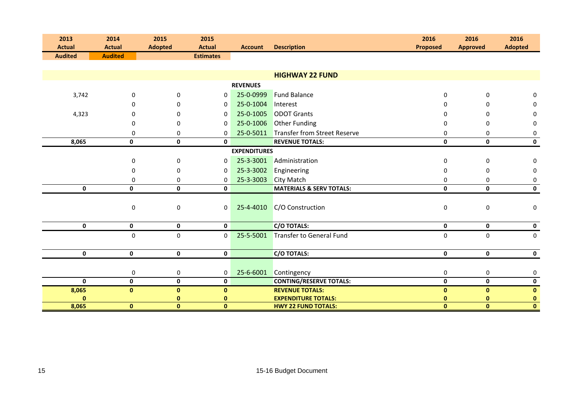| 2013<br><b>Actual</b> | 2014<br><b>Actual</b> | 2015<br><b>Adopted</b> | 2015<br><b>Actual</b> | <b>Account</b>      | <b>Description</b>                  | 2016<br><b>Proposed</b> | 2016<br><b>Approved</b> | 2016<br><b>Adopted</b> |
|-----------------------|-----------------------|------------------------|-----------------------|---------------------|-------------------------------------|-------------------------|-------------------------|------------------------|
| <b>Audited</b>        | <b>Audited</b>        |                        | <b>Estimates</b>      |                     |                                     |                         |                         |                        |
|                       |                       |                        |                       |                     |                                     |                         |                         |                        |
|                       |                       |                        |                       |                     | <b>HIGHWAY 22 FUND</b>              |                         |                         |                        |
|                       |                       |                        |                       | <b>REVENUES</b>     |                                     |                         |                         |                        |
| 3,742                 | 0                     | $\Omega$               | $\mathbf 0$           | 25-0-0999           | <b>Fund Balance</b>                 | $\Omega$                | $\mathbf 0$             | 0                      |
|                       | $\Omega$              | $\Omega$               | $\Omega$              | 25-0-1004           | Interest                            | n                       | $\Omega$                | 0                      |
| 4,323                 | 0                     | 0                      | $\mathbf 0$           | 25-0-1005           | <b>ODOT Grants</b>                  |                         | 0                       | 0                      |
|                       | 0                     | $\Omega$               | $\Omega$              | 25-0-1006           | <b>Other Funding</b>                | 0                       | $\Omega$                | 0                      |
|                       | 0                     | $\mathbf 0$            | $\mathbf 0$           | 25-0-5011           | Transfer from Street Reserve        | 0                       | 0                       | 0                      |
| 8,065                 | $\mathbf 0$           | $\mathbf 0$            | $\mathbf{0}$          |                     | <b>REVENUE TOTALS:</b>              | $\mathbf 0$             | $\mathbf 0$             | $\mathbf 0$            |
|                       |                       |                        |                       | <b>EXPENDITURES</b> |                                     |                         |                         |                        |
|                       | 0                     | $\mathbf 0$            | $\mathbf 0$           | 25-3-3001           | Administration                      | $\mathbf 0$             | $\mathbf 0$             | 0                      |
|                       | 0                     | $\mathbf 0$            | 0                     | 25-3-3002           | Engineering                         | $\Omega$                | 0                       | 0                      |
|                       | 0                     | 0                      | 0                     | 25-3-3003           | <b>City Match</b>                   | 0                       | 0                       | 0                      |
| $\mathbf 0$           | $\mathbf 0$           | $\mathbf{0}$           | $\mathbf 0$           |                     | <b>MATERIALS &amp; SERV TOTALS:</b> | $\mathbf{0}$            | $\mathbf{0}$            | $\mathbf 0$            |
|                       | 0                     | $\mathbf 0$            | $\mathbf 0$           | 25-4-4010           | C/O Construction                    | $\mathbf 0$             | 0                       | 0                      |
| $\mathbf 0$           | $\mathbf 0$           | $\mathbf{0}$           | $\mathbf 0$           |                     | <b>C/O TOTALS:</b>                  | $\mathbf 0$             | $\mathbf 0$             | $\mathbf 0$            |
|                       | $\mathbf 0$           | $\mathbf 0$            | $\mathbf 0$           | 25-5-5001           | Transfer to General Fund            | $\mathbf 0$             | $\mathbf 0$             | 0                      |
|                       |                       |                        |                       |                     |                                     |                         |                         |                        |
| $\mathbf 0$           | $\mathbf 0$           | $\mathbf 0$            | $\mathbf 0$           |                     | <b>C/O TOTALS:</b>                  | 0                       | $\mathbf 0$             | $\mathbf 0$            |
|                       |                       |                        |                       |                     |                                     |                         |                         |                        |
|                       | 0                     | $\pmb{0}$              | 0                     | 25-6-6001           | Contingency                         | 0                       | 0                       | 0                      |
| $\mathbf{0}$          | $\mathbf 0$           | $\mathbf 0$            | $\mathbf 0$           |                     | <b>CONTING/RESERVE TOTALS:</b>      | $\mathbf 0$             | $\mathbf 0$             | $\mathbf 0$            |
| 8,065                 | $\mathbf{0}$          | $\mathbf{0}$           | $\bf{0}$              |                     | <b>REVENUE TOTALS:</b>              | $\mathbf 0$             | $\mathbf{0}$            | $\mathbf{0}$           |
| $\mathbf 0$           |                       | $\bf{0}$               | 0                     |                     | <b>EXPENDITURE TOTALS:</b>          | 0                       | $\bf{0}$                | $\mathbf{0}$           |
| 8,065                 | $\mathbf{0}$          | $\mathbf{0}$           | $\mathbf{0}$          |                     | <b>HWY 22 FUND TOTALS:</b>          | $\mathbf{0}$            | $\mathbf{0}$            | $\mathbf{0}$           |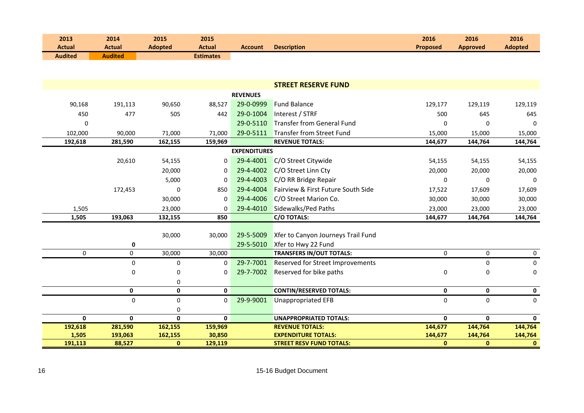| 2013           | 2014           | 2015           | 2015             |                |                    | 2016            | 2016            | 2016           |
|----------------|----------------|----------------|------------------|----------------|--------------------|-----------------|-----------------|----------------|
| <b>Actual</b>  | Actual         | <b>Adopted</b> | Actual           | <b>Account</b> | <b>Description</b> | <b>Proposed</b> | <b>Approved</b> | <b>Adopted</b> |
| <b>Audited</b> | <b>Audited</b> |                | <b>Estimates</b> |                |                    |                 |                 |                |

|              |              |              |              |                     | <b>STREET RESERVE FUND</b>              |              |              |              |
|--------------|--------------|--------------|--------------|---------------------|-----------------------------------------|--------------|--------------|--------------|
|              |              |              |              | <b>REVENUES</b>     |                                         |              |              |              |
| 90,168       | 191,113      | 90,650       | 88,527       | 29-0-0999           | <b>Fund Balance</b>                     | 129,177      | 129,119      | 129,119      |
| 450          | 477          | 505          | 442          | 29-0-1004           | Interest / STRF                         | 500          | 645          | 645          |
| $\Omega$     |              |              |              | 29-0-5110           | Transfer from General Fund              | $\Omega$     | 0            | $\Omega$     |
| 102,000      | 90,000       | 71,000       | 71,000       | 29-0-5111           | Transfer from Street Fund               | 15,000       | 15,000       | 15,000       |
| 192,618      | 281,590      | 162,155      | 159,969      |                     | <b>REVENUE TOTALS:</b>                  | 144,677      | 144,764      | 144,764      |
|              |              |              |              | <b>EXPENDITURES</b> |                                         |              |              |              |
|              | 20,610       | 54,155       | $\mathbf{0}$ | 29-4-4001           | C/O Street Citywide                     | 54,155       | 54,155       | 54,155       |
|              |              | 20,000       | $\Omega$     | 29-4-4002           | C/O Street Linn Cty                     | 20,000       | 20,000       | 20,000       |
|              |              | 5,000        | $\Omega$     | 29-4-4003           | C/O RR Bridge Repair                    | $\mathbf 0$  | 0            | $\mathbf 0$  |
|              | 172,453      | $\Omega$     | 850          | 29-4-4004           | Fairview & First Future South Side      | 17,522       | 17,609       | 17,609       |
|              |              | 30,000       | $\Omega$     | 29-4-4006           | C/O Street Marion Co.                   | 30,000       | 30,000       | 30,000       |
| 1,505        |              | 23,000       | 0            | 29-4-4010           | Sidewalks/Ped Paths                     | 23,000       | 23,000       | 23,000       |
| 1,505        | 193,063      | 132,155      | 850          |                     | <b>C/O TOTALS:</b>                      | 144,677      | 144,764      | 144,764      |
|              |              |              |              |                     |                                         |              |              |              |
|              |              | 30,000       | 30,000       | 29-5-5009           | Xfer to Canyon Journeys Trail Fund      |              |              |              |
|              | 0            |              |              | 29-5-5010           | Xfer to Hwy 22 Fund                     |              |              |              |
| $\mathbf 0$  | $\mathbf 0$  | 30,000       | 30,000       |                     | <b>TRANSFERS IN/OUT TOTALS:</b>         | $\mathbf 0$  | $\mathbf 0$  | $\mathbf 0$  |
|              | $\pmb{0}$    | $\mathbf 0$  | $\Omega$     | 29-7-7001           | <b>Reserved for Street Improvements</b> |              | 0            | 0            |
|              | 0            | $\mathbf 0$  | $\mathbf 0$  | 29-7-7002           | Reserved for bike paths                 | 0            | 0            | 0            |
|              |              | 0            |              |                     |                                         |              |              |              |
|              | $\mathbf 0$  | $\mathbf 0$  | $\mathbf 0$  |                     | <b>CONTIN/RESERVED TOTALS:</b>          | $\mathbf{0}$ | $\mathbf 0$  | 0            |
|              | 0            | 0            | 0            | 29-9-9001           | <b>Unappropriated EFB</b>               | 0            | 0            | 0            |
|              |              | 0            |              |                     |                                         |              |              |              |
| $\mathbf{0}$ | $\mathbf{0}$ | $\mathbf{0}$ | $\mathbf{0}$ |                     | <b>UNAPPROPRIATED TOTALS:</b>           | $\mathbf{0}$ | $\mathbf{0}$ | $\mathbf{0}$ |
| 192,618      | 281,590      | 162,155      | 159,969      |                     | <b>REVENUE TOTALS:</b>                  | 144,677      | 144,764      | 144,764      |
| 1,505        | 193,063      | 162,155      | 30,850       |                     | <b>EXPENDITURE TOTALS:</b>              | 144,677      | 144,764      | 144,764      |
| 191,113      | 88,527       | $\mathbf{0}$ | 129,119      |                     | <b>STREET RESV FUND TOTALS:</b>         | $\mathbf{0}$ | $\mathbf{0}$ | $\mathbf{0}$ |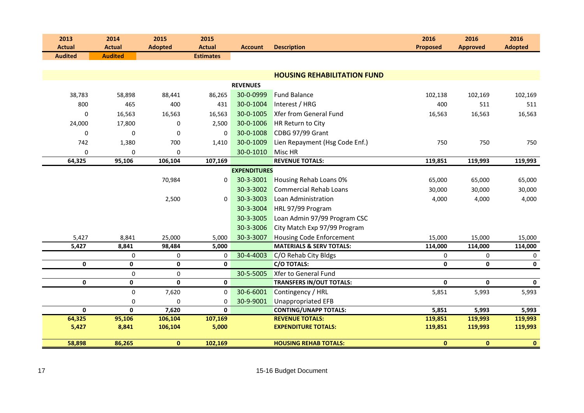| 2013           | 2014           | 2015           | 2015             |                     |                                     | 2016            | 2016            | 2016                    |
|----------------|----------------|----------------|------------------|---------------------|-------------------------------------|-----------------|-----------------|-------------------------|
| <b>Actual</b>  | <b>Actual</b>  | <b>Adopted</b> | <b>Actual</b>    | <b>Account</b>      | <b>Description</b>                  | <b>Proposed</b> | <b>Approved</b> | <b>Adopted</b>          |
| <b>Audited</b> | <b>Audited</b> |                | <b>Estimates</b> |                     |                                     |                 |                 |                         |
|                |                |                |                  |                     |                                     |                 |                 |                         |
|                |                |                |                  |                     | <b>HOUSING REHABILITATION FUND</b>  |                 |                 |                         |
|                |                |                |                  | <b>REVENUES</b>     |                                     |                 |                 |                         |
| 38,783         | 58,898         | 88,441         | 86,265           | 30-0-0999           | <b>Fund Balance</b>                 | 102,138         | 102,169         | 102,169                 |
| 800            | 465            | 400            | 431              | 30-0-1004           | Interest / HRG                      | 400             | 511             | 511                     |
| 0              | 16,563         | 16,563         | 16,563           | 30-0-1005           | <b>Xfer from General Fund</b>       | 16,563          | 16,563          | 16,563                  |
| 24,000         | 17,800         | 0              | 2,500            | 30-0-1006           | HR Return to City                   |                 |                 |                         |
| $\mathbf 0$    | 0              | $\mathbf 0$    | $\Omega$         | 30-0-1008           | CDBG 97/99 Grant                    |                 |                 |                         |
| 742            | 1,380          | 700            | 1,410            | 30-0-1009           | Lien Repayment (Hsg Code Enf.)      | 750             | 750             | 750                     |
| 0              | 0              | 0              |                  | 30-0-1010           | Misc HR                             |                 |                 |                         |
| 64,325         | 95,106         | 106,104        | 107,169          |                     | <b>REVENUE TOTALS:</b>              | 119,851         | 119,993         | 119,993                 |
|                |                |                |                  | <b>EXPENDITURES</b> |                                     |                 |                 |                         |
|                |                | 70,984         | 0                | 30-3-3001           | Housing Rehab Loans 0%              | 65,000          | 65,000          | 65,000                  |
|                |                |                |                  | 30-3-3002           | <b>Commercial Rehab Loans</b>       | 30,000          | 30,000          | 30,000                  |
|                |                | 2,500          | $\Omega$         | 30-3-3003           | Loan Administration                 | 4,000           | 4,000           | 4,000                   |
|                |                |                |                  | 30-3-3004           | HRL 97/99 Program                   |                 |                 |                         |
|                |                |                |                  | 30-3-3005           | Loan Admin 97/99 Program CSC        |                 |                 |                         |
|                |                |                |                  | 30-3-3006           | City Match Exp 97/99 Program        |                 |                 |                         |
| 5,427          | 8,841          | 25,000         | 5,000            | 30-3-3007           | <b>Housing Code Enforcement</b>     | 15,000          | 15,000          | 15,000                  |
| 5,427          | 8,841          | 98,484         | 5,000            |                     | <b>MATERIALS &amp; SERV TOTALS:</b> | 114,000         | 114,000         | 114,000                 |
|                | $\mathbf 0$    | 0              | 0                | 30-4-4003           | C/O Rehab City Bldgs                | 0               | $\mathbf 0$     | 0                       |
| $\mathbf 0$    | 0              | $\mathbf 0$    | $\mathbf{0}$     |                     | <b>C/O TOTALS:</b>                  | $\mathbf 0$     | $\mathbf{0}$    | 0                       |
|                | $\pmb{0}$      | $\mathbf 0$    |                  | 30-5-5005           | Xfer to General Fund                |                 |                 |                         |
| $\mathbf 0$    | 0              | $\pmb{0}$      | $\mathbf 0$      |                     | <b>TRANSFERS IN/OUT TOTALS:</b>     | $\pmb{0}$       | 0               | $\mathbf 0$             |
|                | $\mathbf 0$    | 7,620          | $\Omega$         | 30-6-6001           | Contingency / HRL                   | 5,851           | 5,993           | 5,993                   |
|                | 0              | $\mathbf 0$    | $\mathbf 0$      | 30-9-9001           | <b>Unappropriated EFB</b>           |                 |                 |                         |
| $\mathbf 0$    | $\mathbf{0}$   | 7,620          | $\mathbf{0}$     |                     | <b>CONTING/UNAPP TOTALS:</b>        | 5,851           | 5,993           | 5,993                   |
| 64,325         | 95,106         | 106,104        | 107,169          |                     | <b>REVENUE TOTALS:</b>              | 119,851         | 119,993         | 119,993                 |
| 5,427          | 8,841          | 106,104        | 5,000            |                     | <b>EXPENDITURE TOTALS:</b>          | 119,851         | 119,993         | 119,993                 |
| 58,898         | 86,265         | $\mathbf{0}$   | 102,169          |                     | <b>HOUSING REHAB TOTALS:</b>        | $\mathbf{0}$    | $\mathbf{0}$    | $\overline{\mathbf{0}}$ |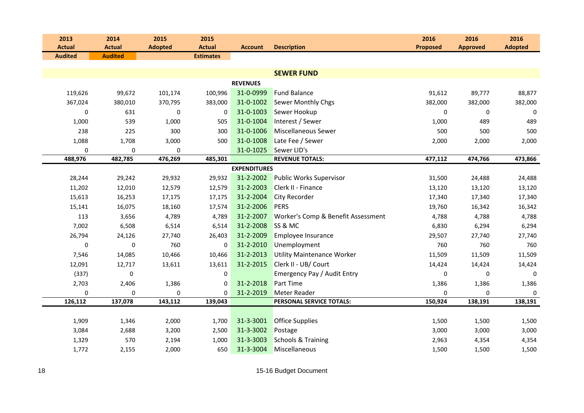| 2013           | 2014           | 2015           | 2015             |                     |                                    | 2016            | 2016                   | 2016           |
|----------------|----------------|----------------|------------------|---------------------|------------------------------------|-----------------|------------------------|----------------|
| <b>Actual</b>  | <b>Actual</b>  | <b>Adopted</b> | <b>Actual</b>    | <b>Account</b>      | <b>Description</b>                 | <b>Proposed</b> | <b>Approved</b>        | <b>Adopted</b> |
| <b>Audited</b> | <b>Audited</b> |                | <b>Estimates</b> |                     |                                    |                 |                        |                |
|                |                |                |                  |                     | <b>SEWER FUND</b>                  |                 |                        |                |
|                |                |                |                  | <b>REVENUES</b>     |                                    |                 |                        |                |
| 119,626        | 99,672         | 101,174        | 100,996          | 31-0-0999           | <b>Fund Balance</b>                | 91,612          | 89,777                 | 88,877         |
| 367,024        |                |                | 383,000          | 31-0-1002           | <b>Sewer Monthly Chgs</b>          | 382,000         |                        |                |
| 0              | 380,010        | 370,795        | $\Omega$         | 31-0-1003           |                                    |                 | 382,000<br>$\mathbf 0$ | 382,000        |
|                | 631            | 0              |                  |                     | Sewer Hookup                       | 0               |                        | 0              |
| 1,000          | 539            | 1,000          | 505              | 31-0-1004           | Interest / Sewer                   | 1,000           | 489                    | 489            |
| 238            | 225            | 300            | 300              | 31-0-1006           | <b>Miscellaneous Sewer</b>         | 500             | 500                    | 500            |
| 1,088          | 1,708          | 3,000          | 500              | 31-0-1008           | Late Fee / Sewer                   | 2,000           | 2,000                  | 2,000          |
| 0              | 0              | 0              |                  | 31-0-1025           | Sewer LID's                        |                 |                        |                |
| 488,976        | 482,785        | 476,269        | 485,301          |                     | <b>REVENUE TOTALS:</b>             | 477,112         | 474,766                | 473,866        |
|                |                |                |                  | <b>EXPENDITURES</b> |                                    |                 |                        |                |
| 28,244         | 29,242         | 29,932         | 29,932           | 31-2-2002           | <b>Public Works Supervisor</b>     | 31,500          | 24,488                 | 24,488         |
| 11,202         | 12,010         | 12,579         | 12,579           | 31-2-2003           | Clerk II - Finance                 | 13,120          | 13,120                 | 13,120         |
| 15,613         | 16,253         | 17,175         | 17,175           | 31-2-2004           | <b>City Recorder</b>               | 17,340          | 17,340                 | 17,340         |
| 15,141         | 16,075         | 18,160         | 17,574           | 31-2-2006           | <b>PERS</b>                        | 19,760          | 16,342                 | 16,342         |
| 113            | 3,656          | 4,789          | 4,789            | 31-2-2007           | Worker's Comp & Benefit Assessment | 4,788           | 4,788                  | 4,788          |
| 7,002          | 6,508          | 6,514          | 6,514            | 31-2-2008           | SS & MC                            | 6,830           | 6,294                  | 6,294          |
| 26,794         | 24,126         | 27,740         | 26,403           | 31-2-2009           | Employee Insurance                 | 29,507          | 27,740                 | 27,740         |
| 0              | 0              | 760            | $\Omega$         | 31-2-2010           | Unemployment                       | 760             | 760                    | 760            |
| 7,546          | 14,085         | 10,466         | 10,466           | 31-2-2013           | Utility Maintenance Worker         | 11,509          | 11,509                 | 11,509         |
| 12,091         | 12,717         | 13,611         | 13,611           | 31-2-2015           | Clerk II - UB/ Court               | 14,424          | 14,424                 | 14,424         |
| (337)          | 0              |                | 0                |                     | Emergency Pay / Audit Entry        | 0               | 0                      | 0              |
| 2,703          | 2,406          | 1,386          | $\Omega$         | 31-2-2018           | <b>Part Time</b>                   | 1,386           | 1,386                  | 1,386          |
| 0              | 0              | 0              | 0                | 31-2-2019           | <b>Meter Reader</b>                | $\mathbf 0$     | 0                      | 0              |
| 126,112        | 137,078        | 143,112        | 139,043          |                     | PERSONAL SERVICE TOTALS:           | 150,924         | 138,191                | 138,191        |
|                |                |                |                  |                     |                                    |                 |                        |                |
| 1,909          | 1,346          | 2,000          | 1,700            | 31-3-3001           | <b>Office Supplies</b>             | 1,500           | 1,500                  | 1,500          |
| 3,084          | 2,688          | 3,200          | 2,500            | 31-3-3002           | Postage                            | 3,000           | 3,000                  | 3,000          |
| 1,329          | 570            | 2,194          | 1,000            | 31-3-3003           | <b>Schools &amp; Training</b>      | 2,963           | 4,354                  | 4,354          |
| 1,772          | 2,155          | 2,000          | 650              | 31-3-3004           | Miscellaneous                      | 1,500           | 1,500                  | 1,500          |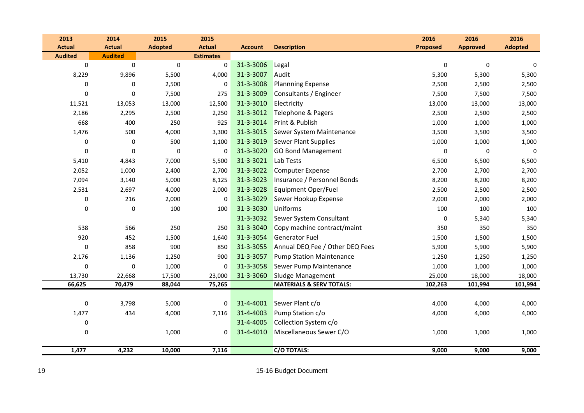| 2013           | 2014           | 2015           | 2015             |                |                                     | 2016            | 2016            | 2016           |
|----------------|----------------|----------------|------------------|----------------|-------------------------------------|-----------------|-----------------|----------------|
| <b>Actual</b>  | <b>Actual</b>  | <b>Adopted</b> | <b>Actual</b>    | <b>Account</b> | <b>Description</b>                  | <b>Proposed</b> | <b>Approved</b> | <b>Adopted</b> |
| <b>Audited</b> | <b>Audited</b> |                | <b>Estimates</b> |                |                                     |                 |                 |                |
| $\mathbf 0$    | $\pmb{0}$      | $\pmb{0}$      | $\mathbf 0$      | 31-3-3006      | Legal                               | $\mathbf 0$     | $\mathbf 0$     | 0              |
| 8,229          | 9,896          | 5,500          | 4,000            | 31-3-3007      | Audit                               | 5,300           | 5,300           | 5,300          |
| 0              | 0              | 2,500          | 0                | 31-3-3008      | <b>Plannning Expense</b>            | 2,500           | 2,500           | 2,500          |
| $\mathbf 0$    | 0              | 7,500          | 275              | 31-3-3009      | Consultants / Engineer              | 7,500           | 7,500           | 7,500          |
| 11,521         | 13,053         | 13,000         | 12,500           | 31-3-3010      | Electricity                         | 13,000          | 13,000          | 13,000         |
| 2,186          | 2,295          | 2,500          | 2,250            | 31-3-3012      | Telephone & Pagers                  | 2,500           | 2,500           | 2,500          |
| 668            | 400            | 250            | 925              | 31-3-3014      | Print & Publish                     | 1,000           | 1,000           | 1,000          |
| 1,476          | 500            | 4,000          | 3,300            | 31-3-3015      | Sewer System Maintenance            | 3,500           | 3,500           | 3,500          |
| $\pmb{0}$      | $\pmb{0}$      | 500            | 1,100            | 31-3-3019      | <b>Sewer Plant Supplies</b>         | 1,000           | 1,000           | 1,000          |
| $\mathbf 0$    | $\mathbf 0$    | 0              | $\mathbf 0$      | 31-3-3020      | <b>GO Bond Management</b>           | $\mathbf 0$     | $\mathbf 0$     | 0              |
| 5,410          | 4,843          | 7,000          | 5,500            | 31-3-3021      | Lab Tests                           | 6,500           | 6,500           | 6,500          |
| 2,052          | 1,000          | 2,400          | 2,700            | 31-3-3022      | <b>Computer Expense</b>             | 2,700           | 2,700           | 2,700          |
| 7,094          | 3,140          | 5,000          | 8,125            | 31-3-3023      | Insurance / Personnel Bonds         | 8,200           | 8,200           | 8,200          |
| 2,531          | 2,697          | 4,000          | 2,000            | 31-3-3028      | Equipment Oper/Fuel                 | 2,500           | 2,500           | 2,500          |
| 0              | 216            | 2,000          | $\mathbf 0$      | 31-3-3029      | Sewer Hookup Expense                | 2,000           | 2,000           | 2,000          |
| 0              | 0              | 100            | 100              | 31-3-3030      | <b>Uniforms</b>                     | 100             | 100             | 100            |
|                |                |                |                  | 31-3-3032      | Sewer System Consultant             | $\pmb{0}$       | 5,340           | 5,340          |
| 538            | 566            | 250            | 250              | 31-3-3040      | Copy machine contract/maint         | 350             | 350             | 350            |
| 920            | 452            | 1,500          | 1,640            | 31-3-3054      | <b>Generator Fuel</b>               | 1,500           | 1,500           | 1,500          |
| 0              | 858            | 900            | 850              | 31-3-3055      | Annual DEQ Fee / Other DEQ Fees     | 5,900           | 5,900           | 5,900          |
| 2,176          | 1,136          | 1,250          | 900              | 31-3-3057      | <b>Pump Station Maintenance</b>     | 1,250           | 1,250           | 1,250          |
| $\mathbf 0$    | $\pmb{0}$      | 1,000          | 0                | 31-3-3058      | Sewer Pump Maintenance              | 1,000           | 1,000           | 1,000          |
| 13,730         | 22,668         | 17,500         | 23,000           | 31-3-3060      | <b>Sludge Management</b>            | 25,000          | 18,000          | 18,000         |
| 66,625         | 70,479         | 88,044         | 75,265           |                | <b>MATERIALS &amp; SERV TOTALS:</b> | 102,263         | 101,994         | 101,994        |
|                |                |                |                  |                |                                     |                 |                 |                |
| $\mathbf 0$    | 3,798          | 5,000          | 0                | 31-4-4001      | Sewer Plant c/o                     | 4,000           | 4,000           | 4,000          |
| 1,477          | 434            | 4,000          | 7,116            | 31-4-4003      | Pump Station c/o                    | 4,000           | 4,000           | 4,000          |
| $\pmb{0}$      |                |                |                  | 31-4-4005      | Collection System c/o               |                 |                 |                |
| 0              |                | 1,000          | 0                | 31-4-4010      | Miscellaneous Sewer C/O             | 1,000           | 1,000           | 1,000          |
|                |                |                |                  |                |                                     |                 |                 |                |
| 1,477          | 4,232          | 10,000         | 7,116            |                | <b>C/O TOTALS:</b>                  | 9,000           | 9,000           | 9,000          |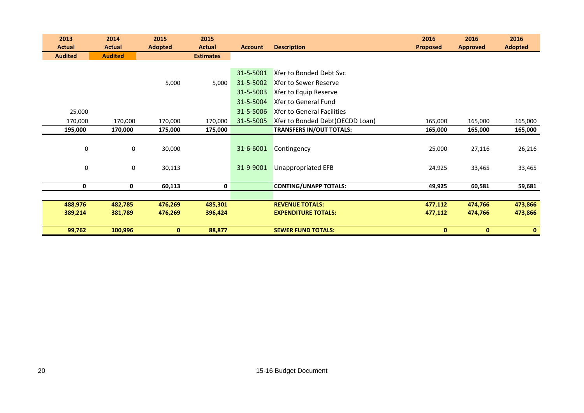| 2013           | 2014           | 2015           | 2015             |                |                                   | 2016            | 2016            | 2016           |
|----------------|----------------|----------------|------------------|----------------|-----------------------------------|-----------------|-----------------|----------------|
| <b>Actual</b>  | <b>Actual</b>  | <b>Adopted</b> | <b>Actual</b>    | <b>Account</b> | <b>Description</b>                | <b>Proposed</b> | <b>Approved</b> | <b>Adopted</b> |
| <b>Audited</b> | <b>Audited</b> |                | <b>Estimates</b> |                |                                   |                 |                 |                |
|                |                |                |                  |                |                                   |                 |                 |                |
|                |                |                |                  | 31-5-5001      | Xfer to Bonded Debt Svc           |                 |                 |                |
|                |                | 5,000          | 5,000            | 31-5-5002      | <b>Xfer to Sewer Reserve</b>      |                 |                 |                |
|                |                |                |                  | 31-5-5003      | Xfer to Equip Reserve             |                 |                 |                |
|                |                |                |                  | 31-5-5004      | Xfer to General Fund              |                 |                 |                |
| 25,000         |                |                |                  | 31-5-5006      | <b>Xfer to General Facilities</b> |                 |                 |                |
| 170,000        | 170,000        | 170,000        | 170,000          | 31-5-5005      | Xfer to Bonded Debt(OECDD Loan)   | 165,000         | 165,000         | 165,000        |
| 195,000        | 170,000        | 175,000        | 175,000          |                | <b>TRANSFERS IN/OUT TOTALS:</b>   | 165,000         | 165,000         | 165,000        |
|                |                |                |                  |                |                                   |                 |                 |                |
| 0              | 0              | 30,000         |                  | 31-6-6001      | Contingency                       | 25,000          | 27,116          | 26,216         |
|                |                |                |                  |                |                                   |                 |                 |                |
| 0              | 0              | 30,113         |                  | 31-9-9001      | <b>Unappropriated EFB</b>         | 24,925          | 33,465          | 33,465         |
|                |                |                |                  |                |                                   |                 |                 |                |
| 0              | 0              | 60,113         | 0                |                | <b>CONTING/UNAPP TOTALS:</b>      | 49,925          | 60,581          | 59,681         |
|                |                |                |                  |                |                                   |                 |                 |                |
| 488,976        | 482,785        | 476,269        | 485,301          |                | <b>REVENUE TOTALS:</b>            | 477,112         | 474,766         | 473,866        |
| 389,214        | 381,789        | 476,269        | 396,424          |                | <b>EXPENDITURE TOTALS:</b>        | 477,112         | 474,766         | 473,866        |
|                |                |                |                  |                |                                   |                 |                 |                |
| 99,762         | 100,996        | $\mathbf{0}$   | 88,877           |                | <b>SEWER FUND TOTALS:</b>         | $\mathbf{0}$    | $\mathbf{0}$    | $\mathbf{0}$   |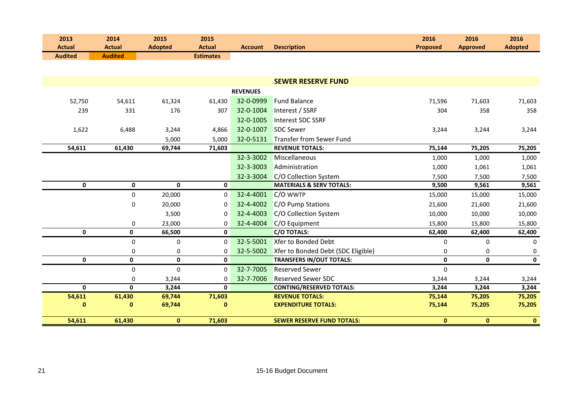| 2013<br><b>Actual</b> | 2014<br><b>Actual</b> | 2015<br><b>Adopted</b> | 2015<br><b>Actual</b> | <b>Account</b>  | <b>Description</b>                  | 2016<br><b>Proposed</b> | 2016<br><b>Approved</b> | 2016<br><b>Adopted</b> |
|-----------------------|-----------------------|------------------------|-----------------------|-----------------|-------------------------------------|-------------------------|-------------------------|------------------------|
| <b>Audited</b>        | <b>Audited</b>        |                        | <b>Estimates</b>      |                 |                                     |                         |                         |                        |
|                       |                       |                        |                       |                 |                                     |                         |                         |                        |
|                       |                       |                        |                       |                 |                                     |                         |                         |                        |
|                       |                       |                        |                       |                 | <b>SEWER RESERVE FUND</b>           |                         |                         |                        |
|                       |                       |                        |                       | <b>REVENUES</b> |                                     |                         |                         |                        |
| 52,750                | 54,611                | 61,324                 | 61,430                | 32-0-0999       | <b>Fund Balance</b>                 | 71,596                  | 71,603                  | 71,603                 |
| 239                   | 331                   | 176                    | 307                   | 32-0-1004       | Interest / SSRF                     | 304                     | 358                     | 358                    |
|                       |                       |                        |                       | 32-0-1005       | Interest SDC SSRF                   |                         |                         |                        |
| 1,622                 | 6,488                 | 3,244                  | 4,866                 | 32-0-1007       | <b>SDC Sewer</b>                    | 3,244                   | 3,244                   | 3,244                  |
|                       |                       | 5,000                  | 5,000                 | 32-0-5131       | <b>Transfer from Sewer Fund</b>     |                         |                         |                        |
| 54,611                | 61,430                | 69,744                 | 71,603                |                 | <b>REVENUE TOTALS:</b>              | 75,144                  | 75,205                  | 75,205                 |
|                       |                       |                        |                       | 32-3-3002       | Miscellaneous                       | 1,000                   | 1,000                   | 1,000                  |
|                       |                       |                        |                       | 32-3-3003       | Administration                      | 1,000                   | 1,061                   | 1,061                  |
|                       |                       |                        |                       | 32-3-3004       | C/O Collection System               | 7,500                   | 7,500                   | 7,500                  |
| 0                     | $\mathbf 0$           | $\mathbf{0}$           | $\mathbf 0$           |                 | <b>MATERIALS &amp; SERV TOTALS:</b> | 9,500                   | 9,561                   | 9,561                  |
|                       | 0                     | 20,000                 | 0                     | 32-4-4001       | C/O WWTP                            | 15,000                  | 15,000                  | 15,000                 |
|                       | 0                     | 20,000                 | $\mathbf 0$           | 32-4-4002       | C/O Pump Stations                   | 21,600                  | 21,600                  | 21,600                 |
|                       |                       | 3,500                  | 0                     | 32-4-4003       | C/O Collection System               | 10,000                  | 10,000                  | 10,000                 |
|                       | 0                     | 23,000                 | 0                     | 32-4-4004       | C/O Equipment                       | 15,800                  | 15,800                  | 15,800                 |
| $\mathbf 0$           | 0                     | 66,500                 | $\mathbf{0}$          |                 | <b>C/O TOTALS:</b>                  | 62,400                  | 62,400                  | 62,400                 |
|                       | $\mathbf 0$           | $\mathbf 0$            | $\Omega$              | 32-5-5001       | Xfer to Bonded Debt                 | $\mathbf 0$             | $\Omega$                | 0                      |
|                       | 0                     | $\mathbf 0$            | $\mathbf 0$           | 32-5-5002       | Xfer to Bonded Debt (SDC Eligible)  | 0                       | 0                       | 0                      |
| $\pmb{0}$             | $\mathbf 0$           | $\mathbf 0$            | $\mathbf 0$           |                 | <b>TRANSFERS IN/OUT TOTALS:</b>     | $\pmb{0}$               | $\mathbf{0}$            | $\mathbf 0$            |
|                       | 0                     | $\mathbf 0$            | $\mathbf 0$           | 32-7-7005       | <b>Reserved Sewer</b>               | $\pmb{0}$               |                         |                        |
|                       | 0                     | 3,244                  | 0                     | 32-7-7006       | <b>Reserved Sewer SDC</b>           | 3,244                   | 3,244                   | 3,244                  |
| $\mathbf 0$           | $\mathbf{0}$          | 3,244                  | $\mathbf{0}$          |                 | <b>CONTING/RESERVED TOTALS:</b>     | 3,244                   | 3,244                   | 3,244                  |
| 54,611                | 61,430                | 69,744                 | 71,603                |                 | <b>REVENUE TOTALS:</b>              | 75,144                  | 75,205                  | 75,205                 |
| $\bf{0}$              | $\mathbf{0}$          | 69,744                 | $\bf{0}$              |                 | <b>EXPENDITURE TOTALS:</b>          | 75,144                  | 75,205                  | 75,205                 |
| 54,611                | 61,430                | $\mathbf{0}$           | 71,603                |                 | <b>SEWER RESERVE FUND TOTALS:</b>   | $\mathbf{0}$            | $\mathbf{0}$            | $\bullet$              |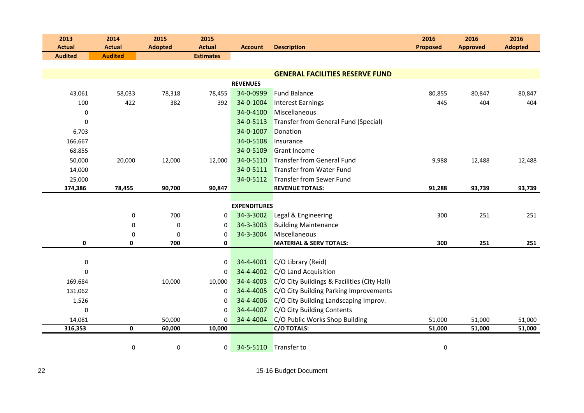| 2013<br><b>Actual</b> | 2014<br><b>Actual</b> | 2015<br><b>Adopted</b> | 2015<br><b>Actual</b> | <b>Account</b>      | <b>Description</b>                          | 2016<br><b>Proposed</b> | 2016<br><b>Approved</b> | 2016<br><b>Adopted</b> |
|-----------------------|-----------------------|------------------------|-----------------------|---------------------|---------------------------------------------|-------------------------|-------------------------|------------------------|
| <b>Audited</b>        | <b>Audited</b>        |                        | <b>Estimates</b>      |                     |                                             |                         |                         |                        |
|                       |                       |                        |                       |                     |                                             |                         |                         |                        |
|                       |                       |                        |                       |                     | <b>GENERAL FACILITIES RESERVE FUND</b>      |                         |                         |                        |
|                       |                       |                        |                       | <b>REVENUES</b>     |                                             |                         |                         |                        |
| 43,061                | 58,033                | 78,318                 | 78,455                | 34-0-0999           | <b>Fund Balance</b>                         | 80,855                  | 80,847                  | 80,847                 |
| 100                   | 422                   | 382                    | 392                   | 34-0-1004           | <b>Interest Earnings</b>                    | 445                     | 404                     | 404                    |
| 0                     |                       |                        |                       | 34-0-4100           | Miscellaneous                               |                         |                         |                        |
| $\mathbf 0$           |                       |                        |                       | 34-0-5113           | Transfer from General Fund (Special)        |                         |                         |                        |
| 6,703                 |                       |                        |                       | 34-0-1007           | Donation                                    |                         |                         |                        |
| 166,667               |                       |                        |                       | 34-0-5108           | Insurance                                   |                         |                         |                        |
| 68,855                |                       |                        |                       | 34-0-5109           | <b>Grant Income</b>                         |                         |                         |                        |
| 50,000                | 20,000                | 12,000                 | 12,000                | 34-0-5110           | <b>Transfer from General Fund</b>           | 9,988                   | 12,488                  | 12,488                 |
| 14,000                |                       |                        |                       | 34-0-5111           | Transfer from Water Fund                    |                         |                         |                        |
| 25,000                |                       |                        |                       | 34-0-5112           | Transfer from Sewer Fund                    |                         |                         |                        |
| 374,386               | 78,455                | 90,700                 | 90,847                |                     | <b>REVENUE TOTALS:</b>                      | 91,288                  | 93,739                  | 93,739                 |
|                       |                       |                        |                       | <b>EXPENDITURES</b> |                                             |                         |                         |                        |
|                       | $\pmb{0}$             | 700                    | 0                     | 34-3-3002           | Legal & Engineering                         | 300                     | 251                     | 251                    |
|                       | 0                     | $\pmb{0}$              | 0                     | 34-3-3003           | <b>Building Maintenance</b>                 |                         |                         |                        |
|                       | $\mathbf 0$           | $\mathbf 0$            | 0                     | 34-3-3004           | Miscellaneous                               |                         |                         |                        |
| $\mathbf{0}$          | $\mathbf{0}$          | 700                    | 0                     |                     | <b>MATERIAL &amp; SERV TOTALS:</b>          | 300                     | 251                     | 251                    |
|                       |                       |                        |                       |                     |                                             |                         |                         |                        |
| 0                     |                       |                        | 0                     | 34-4-4001           | C/O Library (Reid)                          |                         |                         |                        |
| $\mathbf 0$           |                       |                        | $\Omega$              | 34-4-4002           | C/O Land Acquisition                        |                         |                         |                        |
| 169,684               |                       | 10,000                 | 10,000                | 34-4-4003           | C/O City Buildings & Facilities (City Hall) |                         |                         |                        |
| 131,062               |                       |                        | 0                     | 34-4-4005           | C/O City Building Parking Improvements      |                         |                         |                        |
| 1,526                 |                       |                        | 0                     | 34-4-4006           | C/O City Building Landscaping Improv.       |                         |                         |                        |
| $\mathbf 0$           |                       |                        | 0                     | 34-4-4007           | C/O City Building Contents                  |                         |                         |                        |
| 14,081                |                       | 50,000                 | $\Omega$              | 34-4-4004           | C/O Public Works Shop Building              | 51,000                  | 51,000                  | 51,000                 |
| 316,353               | $\pmb{0}$             | 60,000                 | 10,000                |                     | C/O TOTALS:                                 | 51,000                  | 51,000                  | 51,000                 |
|                       |                       |                        |                       |                     |                                             |                         |                         |                        |
|                       | $\pmb{0}$             | $\pmb{0}$              | 0                     |                     | 34-5-5110 Transfer to                       | $\pmb{0}$               |                         |                        |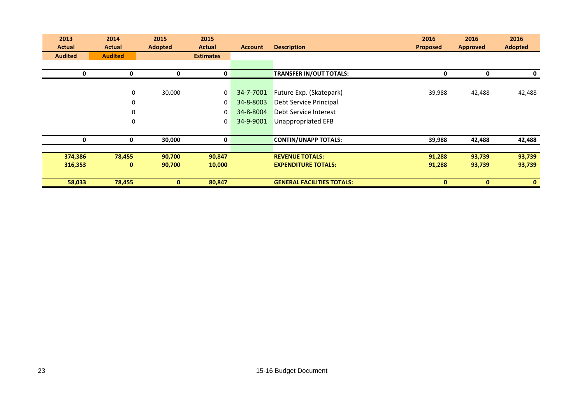| 2013<br><b>Actual</b> | 2014<br><b>Actual</b> | 2015<br><b>Adopted</b> | 2015<br><b>Actual</b> | <b>Account</b> | <b>Description</b>                | 2016<br><b>Proposed</b> | 2016<br><b>Approved</b> | 2016<br><b>Adopted</b> |
|-----------------------|-----------------------|------------------------|-----------------------|----------------|-----------------------------------|-------------------------|-------------------------|------------------------|
| <b>Audited</b>        | <b>Audited</b>        |                        | <b>Estimates</b>      |                |                                   |                         |                         |                        |
|                       |                       |                        |                       |                |                                   |                         |                         |                        |
| 0                     | 0                     | 0                      | 0                     |                | <b>TRANSFER IN/OUT TOTALS:</b>    | 0                       | 0                       | 0                      |
|                       |                       |                        |                       |                |                                   |                         |                         |                        |
|                       | $\mathbf 0$           | 30,000                 | 0                     | 34-7-7001      | Future Exp. (Skatepark)           | 39,988                  | 42,488                  | 42,488                 |
|                       | 0                     |                        | 0                     | 34-8-8003      | Debt Service Principal            |                         |                         |                        |
|                       | 0                     |                        | 0                     | 34-8-8004      | Debt Service Interest             |                         |                         |                        |
|                       | 0                     |                        | 0                     | 34-9-9001      | Unappropriated EFB                |                         |                         |                        |
|                       |                       |                        |                       |                |                                   |                         |                         |                        |
| 0                     | 0                     | 30,000                 | 0                     |                | <b>CONTIN/UNAPP TOTALS:</b>       | 39,988                  | 42,488                  | 42,488                 |
|                       |                       |                        |                       |                |                                   |                         |                         |                        |
| 374,386               | 78,455                | 90,700                 | 90,847                |                | <b>REVENUE TOTALS:</b>            | 91,288                  | 93,739                  | 93,739                 |
| 316,353               | 0                     | 90,700                 | 10,000                |                | <b>EXPENDITURE TOTALS:</b>        | 91,288                  | 93,739                  | 93,739                 |
|                       |                       |                        |                       |                |                                   |                         |                         |                        |
| 58,033                | 78,455                | $\mathbf{0}$           | 80,847                |                | <b>GENERAL FACILITIES TOTALS:</b> | 0                       | $\mathbf{0}$            | $\mathbf{0}$           |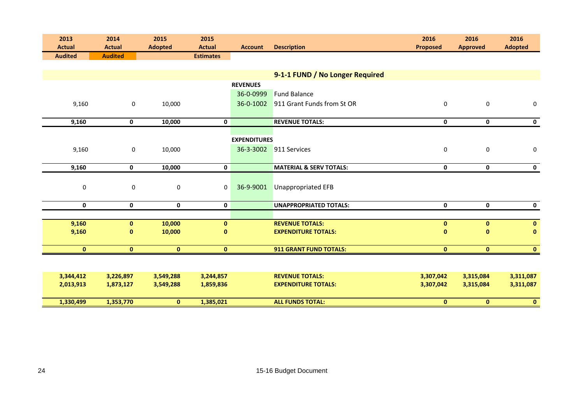| 2013<br><b>Actual</b> | 2014<br><b>Actual</b> | 2015<br><b>Adopted</b> | 2015<br><b>Actual</b> | <b>Account</b>      | <b>Description</b>                 | 2016<br><b>Proposed</b> | 2016<br><b>Approved</b> | 2016<br><b>Adopted</b> |
|-----------------------|-----------------------|------------------------|-----------------------|---------------------|------------------------------------|-------------------------|-------------------------|------------------------|
| <b>Audited</b>        | <b>Audited</b>        |                        | <b>Estimates</b>      |                     |                                    |                         |                         |                        |
|                       |                       |                        |                       |                     |                                    |                         |                         |                        |
|                       |                       |                        |                       |                     | 9-1-1 FUND / No Longer Required    |                         |                         |                        |
|                       |                       |                        |                       | <b>REVENUES</b>     |                                    |                         |                         |                        |
|                       |                       |                        |                       | 36-0-0999           | <b>Fund Balance</b>                |                         |                         |                        |
| 9,160                 | 0                     | 10,000                 |                       | 36-0-1002           | 911 Grant Funds from St OR         | $\mathbf 0$             | $\mathbf 0$             | $\boldsymbol{0}$       |
|                       |                       |                        |                       |                     |                                    |                         |                         |                        |
| 9,160                 | 0                     | 10,000                 | $\mathbf 0$           |                     | <b>REVENUE TOTALS:</b>             | 0                       | 0                       | 0                      |
|                       |                       |                        |                       |                     |                                    |                         |                         |                        |
|                       |                       |                        |                       | <b>EXPENDITURES</b> |                                    |                         |                         |                        |
| 9,160                 | $\mathbf 0$           | 10,000                 |                       | 36-3-3002           | 911 Services                       | $\pmb{0}$               | $\pmb{0}$               | $\boldsymbol{0}$       |
|                       |                       |                        |                       |                     |                                    |                         |                         |                        |
| 9,160                 | 0                     | 10,000                 | $\mathbf 0$           |                     | <b>MATERIAL &amp; SERV TOTALS:</b> | $\pmb{0}$               | $\mathbf 0$             | $\mathbf 0$            |
|                       |                       |                        |                       |                     |                                    |                         |                         |                        |
| $\pmb{0}$             | 0                     | $\mathbf 0$            | $\mathbf 0$           | 36-9-9001           | <b>Unappropriated EFB</b>          |                         |                         |                        |
|                       |                       |                        |                       |                     |                                    |                         |                         |                        |
| $\mathbf 0$           | 0                     | $\mathbf 0$            | $\mathbf 0$           |                     | <b>UNAPPROPRIATED TOTALS:</b>      | 0                       | $\mathbf 0$             | $\mathbf 0$            |
|                       |                       |                        |                       |                     |                                    |                         |                         |                        |
| 9,160                 | $\mathbf{0}$          | 10,000                 | $\mathbf{0}$          |                     | <b>REVENUE TOTALS:</b>             | $\mathbf 0$             | $\mathbf{0}$            | $\mathbf 0$            |
| 9,160                 | $\mathbf{0}$          | 10,000                 | $\mathbf{0}$          |                     | <b>EXPENDITURE TOTALS:</b>         | $\mathbf{0}$            | $\mathbf{0}$            | $\mathbf{0}$           |
| $\mathbf{0}$          | $\mathbf{0}$          | $\mathbf{0}$           | $\mathbf{0}$          |                     | 911 GRANT FUND TOTALS:             | $\mathbf{0}$            | $\mathbf{0}$            | $\mathbf{0}$           |
|                       |                       |                        |                       |                     |                                    |                         |                         |                        |
|                       |                       |                        |                       |                     |                                    |                         |                         |                        |
| 3,344,412             | 3,226,897             | 3,549,288              | 3,244,857             |                     | <b>REVENUE TOTALS:</b>             | 3,307,042               | 3,315,084               | 3,311,087              |
| 2,013,913             | 1,873,127             | 3,549,288              | 1,859,836             |                     | <b>EXPENDITURE TOTALS:</b>         | 3,307,042               | 3,315,084               | 3,311,087              |
|                       |                       |                        |                       |                     |                                    |                         |                         |                        |
| 1,330,499             | 1,353,770             | $\mathbf{0}$           | 1,385,021             |                     | <b>ALL FUNDS TOTAL:</b>            | $\bf{0}$                | $\mathbf{0}$            | $\mathbf{0}$           |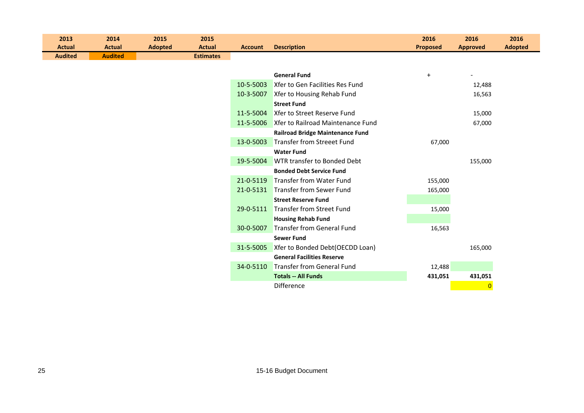| 2013           | 2014           | 2015           | 2015             |                |                                             | 2016            | 2016            | 2016           |
|----------------|----------------|----------------|------------------|----------------|---------------------------------------------|-----------------|-----------------|----------------|
| <b>Actual</b>  | <b>Actual</b>  | <b>Adopted</b> | <b>Actual</b>    | <b>Account</b> | <b>Description</b>                          | <b>Proposed</b> | <b>Approved</b> | <b>Adopted</b> |
| <b>Audited</b> | <b>Audited</b> |                | <b>Estimates</b> |                |                                             |                 |                 |                |
|                |                |                |                  |                |                                             |                 |                 |                |
|                |                |                |                  |                | <b>General Fund</b>                         | $+$             |                 |                |
|                |                |                |                  | 10-5-5003      | Xfer to Gen Facilities Res Fund             |                 | 12,488          |                |
|                |                |                |                  | 10-3-5007      | Xfer to Housing Rehab Fund                  |                 | 16,563          |                |
|                |                |                |                  |                | <b>Street Fund</b>                          |                 |                 |                |
|                |                |                |                  | 11-5-5004      | Xfer to Street Reserve Fund                 |                 | 15,000          |                |
|                |                |                |                  |                | 11-5-5006 Xfer to Railroad Maintenance Fund |                 | 67,000          |                |
|                |                |                |                  |                | <b>Railroad Bridge Maintenance Fund</b>     |                 |                 |                |
|                |                |                |                  | 13-0-5003      | Transfer from Streeet Fund                  | 67,000          |                 |                |
|                |                |                |                  |                | <b>Water Fund</b>                           |                 |                 |                |
|                |                |                |                  | 19-5-5004      | WTR transfer to Bonded Debt                 |                 | 155,000         |                |
|                |                |                |                  |                | <b>Bonded Debt Service Fund</b>             |                 |                 |                |
|                |                |                |                  | 21-0-5119      | <b>Transfer from Water Fund</b>             | 155,000         |                 |                |
|                |                |                |                  |                | 21-0-5131 Transfer from Sewer Fund          | 165,000         |                 |                |
|                |                |                |                  |                | <b>Street Reserve Fund</b>                  |                 |                 |                |
|                |                |                |                  | 29-0-5111      | <b>Transfer from Street Fund</b>            | 15,000          |                 |                |
|                |                |                |                  |                | <b>Housing Rehab Fund</b>                   |                 |                 |                |
|                |                |                |                  | 30-0-5007      | <b>Transfer from General Fund</b>           | 16,563          |                 |                |
|                |                |                |                  |                | <b>Sewer Fund</b>                           |                 |                 |                |
|                |                |                |                  | 31-5-5005      | Xfer to Bonded Debt(OECDD Loan)             |                 | 165,000         |                |
|                |                |                |                  |                | <b>General Facilities Reserve</b>           |                 |                 |                |
|                |                |                |                  | 34-0-5110      | Transfer from General Fund                  | 12,488          |                 |                |
|                |                |                |                  |                | <b>Totals -- All Funds</b>                  | 431,051         | 431,051         |                |
|                |                |                |                  |                | Difference                                  |                 | $\mathbf{0}$    |                |